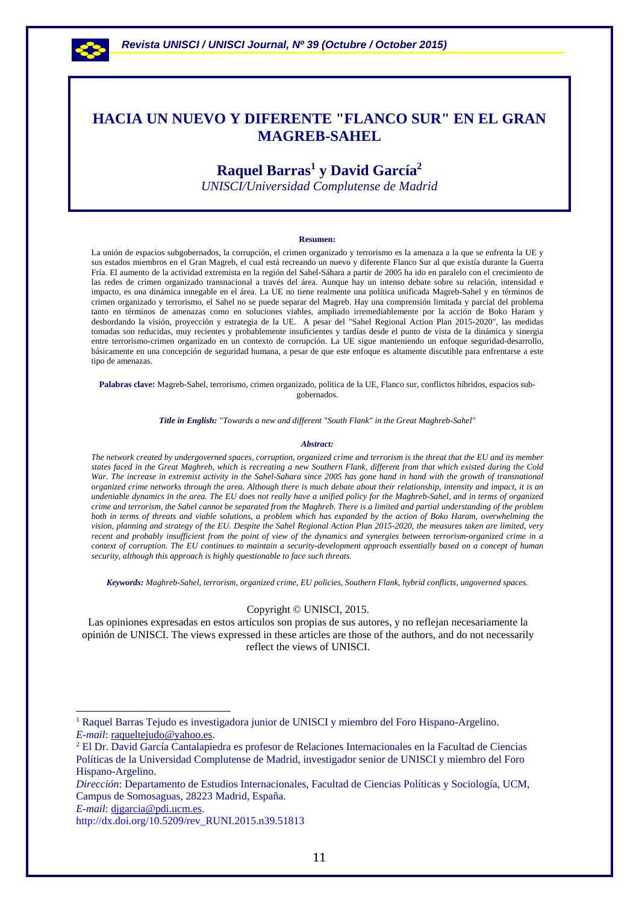

# **HACIA UN NUEVO Y DIFERENTE "FLANCO SUR" EN EL GRAN MAGREB-SAHEL**

# **Raquel Barras<sup>1</sup> y David García2**

*UNISCI/Universidad Complutense de Madrid* 

#### **Resumen:**

La unión de espacios subgobernados, la corrupción, el crimen organizado y terrorismo es la amenaza a la que se enfrenta la UE y sus estados miembros en el Gran Magreb, el cual está recreando un nuevo y diferente Flanco Sur al que existía durante la Guerra Fría. El aumento de la actividad extremista en la región del Sahel-Sáhara a partir de 2005 ha ido en paralelo con el crecimiento de las redes de crimen organizado transnacional a través del área. Aunque hay un intenso debate sobre su relación, intensidad e impacto, es una dinámica innegable en el área. La UE no tiene realmente una política unificada Magreb-Sahel y en términos de crimen organizado y terrorismo, el Sahel no se puede separar del Magreb. Hay una comprensión limitada y parcial del problema tanto en términos de amenazas como en soluciones viables, ampliado irremediablemente por la acción de Boko Haram y desbordando la visión, proyección y estrategia de la UE. A pesar del "Sahel Regional Action Plan 2015-2020", las medidas tomadas son reducidas, muy recientes y probablemente insuficientes y tardías desde el punto de vista de la dinámica y sinergia entre terrorismo-crimen organizado en un contexto de corrupción. La UE sigue manteniendo un enfoque seguridad-desarrollo, básicamente en una concepción de seguridad humana, a pesar de que este enfoque es altamente discutible para enfrentarse a este tipo de amenazas.

**Palabras clave:** Magreb-Sahel, terrorismo, crimen organizado, política de la UE, Flanco sur, conflictos híbridos, espacios subgobernados.

*Title in English: "Towards a new and different "South Flank" in the Great Maghreb-Sahel"*

#### *Abstract:*

*The network created by undergoverned spaces, corruption, organized crime and terrorism is the threat that the EU and its member states faced in the Great Maghreb, which is recreating a new Southern Flank, different from that which existed during the Cold War. The increase in extremist activity in the Sahel-Sahara since 2005 has gone hand in hand with the growth of transnational organized crime networks through the area. Although there is much debate about their relationship, intensity and impact, it is an undeniable dynamics in the area. The EU does not really have a unified policy for the Maghreb-Sahel, and in terms of organized crime and terrorism, the Sahel cannot be separated from the Maghreb. There is a limited and partial understanding of the problem*  both in terms of threats and viable solutions, a problem which has expanded by the action of Boko Haram, overwhelming the *vision, planning and strategy of the EU. Despite the Sahel Regional Action Plan 2015-2020, the measures taken are limited, very recent and probably insufficient from the point of view of the dynamics and synergies between terrorism-organized crime in a context of corruption. The EU continues to maintain a security-development approach essentially based on a concept of human security, although this approach is highly questionable to face such threats.* 

*Keywords: Maghreb-Sahel, terrorism, organized crime, EU policies, Southern Flank, hybrid conflicts, ungoverned spaces.* 

#### Copyright © UNISCI, 2015.

Las opiniones expresadas en estos artículos son propias de sus autores, y no reflejan necesariamente la opinión de UNISCI. The views expressed in these articles are those of the authors, and do not necessarily reflect the views of UNISCI.

*E-mail*: djgarcia@pdi.ucm.es.

1

<sup>1</sup> Raquel Barras Tejudo es investigadora junior de UNISCI y miembro del Foro Hispano-Argelino. *E-mail*: raqueltejudo@yahoo.es.

<sup>2</sup> El Dr. David García Cantalapiedra es profesor de Relaciones Internacionales en la Facultad de Ciencias Políticas de la Universidad Complutense de Madrid, investigador senior de UNISCI y miembro del Foro Hispano-Argelino.

*Dirección*: Departamento de Estudios Internacionales, Facultad de Ciencias Políticas y Sociología, UCM, Campus de Somosaguas, 28223 Madrid, España.

http://dx.doi.org/10.5209/rev\_RUNI.2015.n39.51813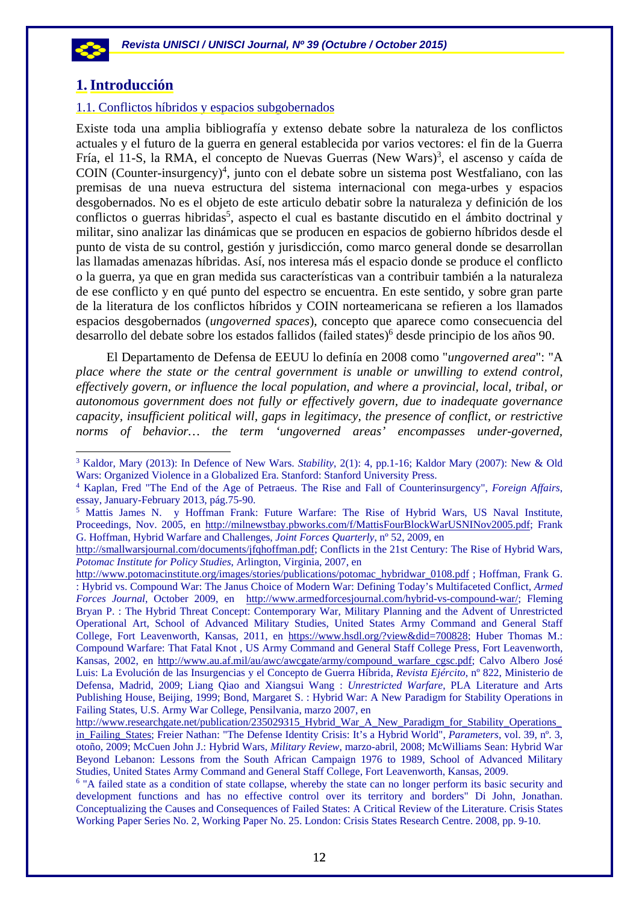

1

## **1.Introducción**

### 1.1. Conflictos híbridos y espacios subgobernados

Existe toda una amplia bibliografía y extenso debate sobre la naturaleza de los conflictos actuales y el futuro de la guerra en general establecida por varios vectores: el fin de la Guerra Fría, el 11-S, la RMA, el concepto de Nuevas Guerras (New Wars)<sup>3</sup>, el ascenso y caída de COIN (Counter-insurgency)<sup>4</sup>, junto con el debate sobre un sistema post Westfaliano, con las premisas de una nueva estructura del sistema internacional con mega-urbes y espacios desgobernados. No es el objeto de este articulo debatir sobre la naturaleza y definición de los conflictos o guerras hibridas<sup>5</sup>, aspecto el cual es bastante discutido en el ámbito doctrinal y militar, sino analizar las dinámicas que se producen en espacios de gobierno híbridos desde el punto de vista de su control, gestión y jurisdicción, como marco general donde se desarrollan las llamadas amenazas híbridas. Así, nos interesa más el espacio donde se produce el conflicto o la guerra, ya que en gran medida sus características van a contribuir también a la naturaleza de ese conflicto y en qué punto del espectro se encuentra. En este sentido, y sobre gran parte de la literatura de los conflictos híbridos y COIN norteamericana se refieren a los llamados espacios desgobernados (*ungoverned spaces*), concepto que aparece como consecuencia del desarrollo del debate sobre los estados fallidos (failed states)<sup>6</sup> desde principio de los años 90.

El Departamento de Defensa de EEUU lo definía en 2008 como "*ungoverned area*": "A *place where the state or the central government is unable or unwilling to extend control, effectively govern, or influence the local population, and where a provincial, local, tribal, or autonomous government does not fully or effectively govern, due to inadequate governance capacity, insufficient political will, gaps in legitimacy, the presence of conflict, or restrictive norms of behavior… the term 'ungoverned areas' encompasses under-governed,* 

<sup>3</sup> Kaldor, Mary (2013): In Defence of New Wars. *Stability*, 2(1): 4, pp.1-16; Kaldor Mary (2007): New & Old Wars: Organized Violence in a Globalized Era. Stanford: Stanford University Press. 4

Kaplan, Fred "The End of the Age of Petraeus. The Rise and Fall of Counterinsurgency", *Foreign Affairs*, essay, January-February 2013, pág.75-90.

<sup>5</sup> Mattis James N. y Hoffman Frank: Future Warfare: The Rise of Hybrid Wars, US Naval Institute, Proceedings, Nov. 2005, en http://milnewstbay.pbworks.com/f/MattisFourBlockWarUSNINov2005.pdf; Frank G. Hoffman, Hybrid Warfare and Challenges, *Joint Forces Quarterly*, nº 52, 2009, en

http://smallwarsjournal.com/documents/jfqhoffman.pdf; Conflicts in the 21st Century: The Rise of Hybrid Wars, *Potomac Institute for Policy Studies*, Arlington, Virginia, 2007, en

http://www.potomacinstitute.org/images/stories/publications/potomac\_hybridwar\_0108.pdf ; Hoffman, Frank G. : Hybrid vs. Compound War: The Janus Choice of Modern War: Defining Today's Multifaceted Conflict, *Armed Forces Journal*, October 2009, en http://www.armedforcesjournal.com/hybrid-vs-compound-war/; Fleming Bryan P. : The Hybrid Threat Concept: Contemporary War, Military Planning and the Advent of Unrestricted Operational Art, School of Advanced Military Studies, United States Army Command and General Staff College, Fort Leavenworth, Kansas, 2011, en https://www.hsdl.org/?view&did=700828; Huber Thomas M.: Compound Warfare: That Fatal Knot , US Army Command and General Staff College Press, Fort Leavenworth, Kansas, 2002, en http://www.au.af.mil/au/awc/awcgate/army/compound\_warfare\_cgsc.pdf; Calvo Albero José Luis: La Evolución de las Insurgencias y el Concepto de Guerra Híbrida, *Revista Ejército*, nº 822, Ministerio de Defensa, Madrid, 2009; Liang Qiao and Xiangsui Wang : *Unrestricted Warfare*, PLA Literature and Arts Publishing House, Beijing, 1999; Bond, Margaret S. : Hybrid War: A New Paradigm for Stability Operations in Failing States, U.S. Army War College, Pensilvania, marzo 2007, en

http://www.researchgate.net/publication/235029315\_Hybrid\_War\_A\_New\_Paradigm\_for\_Stability\_Operations in\_Failing\_States; Freier Nathan: "The Defense Identity Crisis: It's a Hybrid World", *Parameters*, vol. 39, n°. 3, otoño, 2009; McCuen John J.: Hybrid Wars, *Military Review*, marzo-abril, 2008; McWilliams Sean: Hybrid War Beyond Lebanon: Lessons from the South African Campaign 1976 to 1989, School of Advanced Military Studies, United States Army Command and General Staff College, Fort Leavenworth, Kansas, 2009.

<sup>&</sup>lt;sup>6</sup> "A failed state as a condition of state collapse, whereby the state can no longer perform its basic security and development functions and has no effective control over its territory and borders" Di John, Jonathan. Conceptualizing the Causes and Consequences of Failed States: A Critical Review of the Literature. Crisis States Working Paper Series No. 2, Working Paper No. 25. London: Crisis States Research Centre. 2008, pp. 9-10.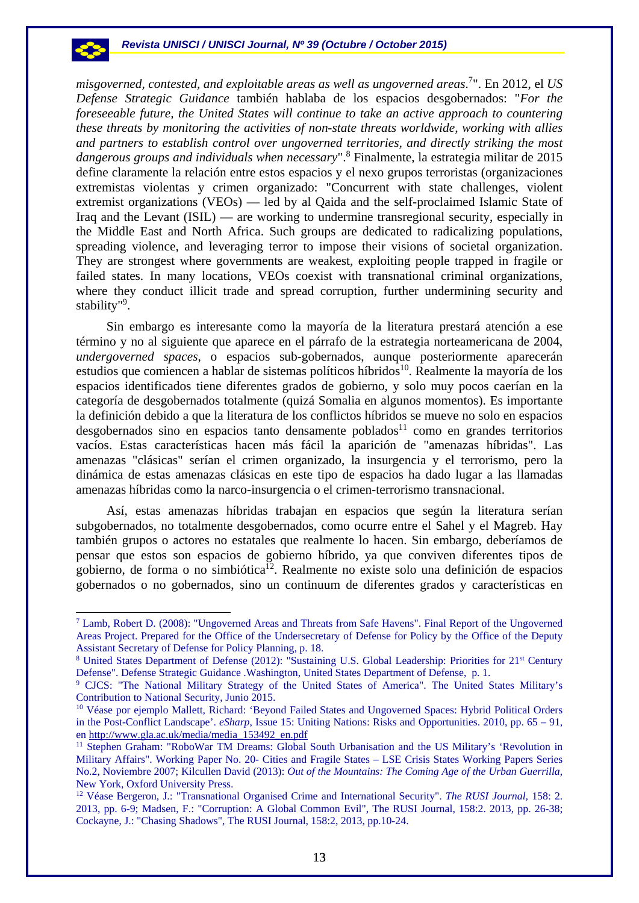*misgoverned, contested, and exploitable areas as well as ungoverned areas*. 7 ". En 2012, el *US Defense Strategic Guidance* también hablaba de los espacios desgobernados: "*For the foreseeable future, the United States will continue to take an active approach to countering these threats by monitoring the activities of non-state threats worldwide, working with allies and partners to establish control over ungoverned territories, and directly striking the most dangerous groups and individuals when necessary*".8 Finalmente, la estrategia militar de 2015 define claramente la relación entre estos espacios y el nexo grupos terroristas (organizaciones extremistas violentas y crimen organizado: "Concurrent with state challenges, violent extremist organizations (VEOs) — led by al Qaida and the self-proclaimed Islamic State of Iraq and the Levant (ISIL) — are working to undermine transregional security, especially in the Middle East and North Africa. Such groups are dedicated to radicalizing populations, spreading violence, and leveraging terror to impose their visions of societal organization. They are strongest where governments are weakest, exploiting people trapped in fragile or failed states. In many locations, VEOs coexist with transnational criminal organizations, where they conduct illicit trade and spread corruption, further undermining security and stability"<sup>9</sup>.

Sin embargo es interesante como la mayoría de la literatura prestará atención a ese término y no al siguiente que aparece en el párrafo de la estrategia norteamericana de 2004, *undergoverned spaces*, o espacios sub-gobernados, aunque posteriormente aparecerán estudios que comiencen a hablar de sistemas políticos híbridos<sup>10</sup>. Realmente la mayoría de los espacios identificados tiene diferentes grados de gobierno, y solo muy pocos caerían en la categoría de desgobernados totalmente (quizá Somalia en algunos momentos). Es importante la definición debido a que la literatura de los conflictos híbridos se mueve no solo en espacios  $desgobernados sino en espacios tanto densamente poblados<sup>11</sup> como en grandes territorios$ vacíos. Estas características hacen más fácil la aparición de "amenazas híbridas". Las amenazas "clásicas" serían el crimen organizado, la insurgencia y el terrorismo, pero la dinámica de estas amenazas clásicas en este tipo de espacios ha dado lugar a las llamadas amenazas híbridas como la narco-insurgencia o el crimen-terrorismo transnacional.

Así, estas amenazas híbridas trabajan en espacios que según la literatura serían subgobernados, no totalmente desgobernados, como ocurre entre el Sahel y el Magreb. Hay también grupos o actores no estatales que realmente lo hacen. Sin embargo, deberíamos de pensar que estos son espacios de gobierno híbrido, ya que conviven diferentes tipos de gobierno, de forma o no simbiótica<sup>12</sup>. Realmente no existe solo una definición de espacios gobernados o no gobernados, sino un continuum de diferentes grados y características en

<sup>&</sup>lt;sup>7</sup> Lamb, Robert D. (2008): "Ungoverned Areas and Threats from Safe Havens". Final Report of the Ungoverned Areas Project. Prepared for the Office of the Undersecretary of Defense for Policy by the Office of the Deputy Assistant Secretary of Defense for Policy Planning, p. 18.

<sup>&</sup>lt;sup>8</sup> United States Department of Defense (2012): "Sustaining U.S. Global Leadership: Priorities for 21<sup>st</sup> Century Defense". Defense Strategic Guidance .Washington, United States Department of Defense, p. 1.

<sup>9</sup> CJCS: "The National Military Strategy of the United States of America". The United States Military's Contribution to National Security, Junio 2015.

<sup>10</sup> Véase por ejemplo Mallett, Richard: 'Beyond Failed States and Ungoverned Spaces: Hybrid Political Orders in the Post-Conflict Landscape'. *eSharp*, Issue 15: Uniting Nations: Risks and Opportunities. 2010, pp. 65 – 91, en http://www.gla.ac.uk/media/media\_153492\_en.pdf

<sup>11</sup> Stephen Graham: "RoboWar TM Dreams: Global South Urbanisation and the US Military's 'Revolution in Military Affairs". Working Paper No. 20- Cities and Fragile States – LSE Crisis States Working Papers Series No.2, Noviembre 2007; Kilcullen David (2013): *Out of the Mountains: The Coming Age of the Urban Guerrilla*, New York, Oxford University Press.

<sup>12</sup> Véase Bergeron, J.: "Transnational Organised Crime and International Security". *The RUSI Journal*, 158: 2. 2013, pp. 6-9; Madsen, F.: "Corruption: A Global Common Evil", The RUSI Journal, 158:2. 2013, pp. 26-38; Cockayne, J.: "Chasing Shadows", The RUSI Journal, 158:2, 2013, pp.10-24.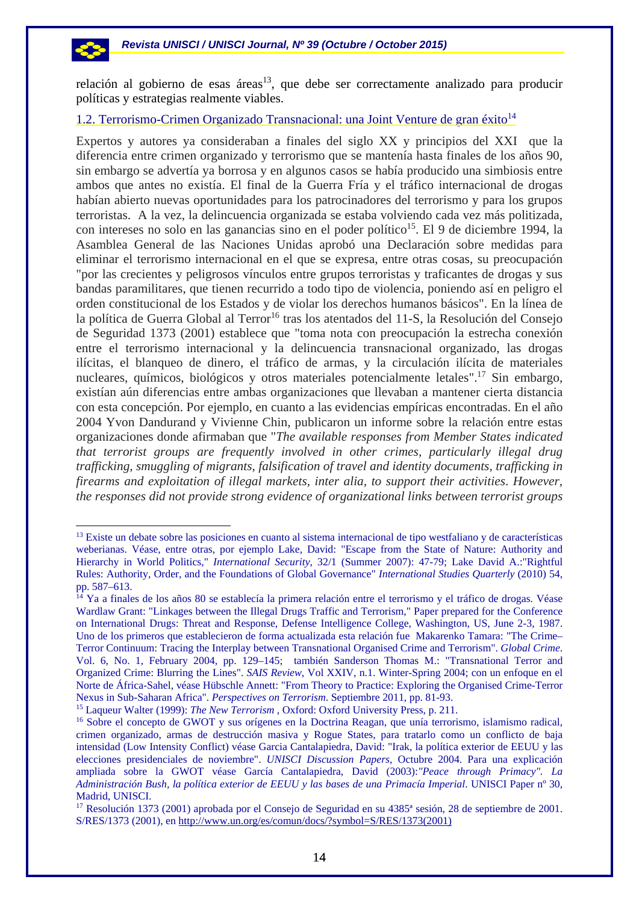

-

relación al gobierno de esas áreas $13$ , que debe ser correctamente analizado para producir políticas y estrategias realmente viables.

### 1.2. Terrorismo-Crimen Organizado Transnacional: una Joint Venture de gran éxito $14$

Expertos y autores ya consideraban a finales del siglo XX y principios del XXI que la diferencia entre crimen organizado y terrorismo que se mantenía hasta finales de los años 90, sin embargo se advertía ya borrosa y en algunos casos se había producido una simbiosis entre ambos que antes no existía. El final de la Guerra Fría y el tráfico internacional de drogas habían abierto nuevas oportunidades para los patrocinadores del terrorismo y para los grupos terroristas. A la vez, la delincuencia organizada se estaba volviendo cada vez más politizada, con intereses no solo en las ganancias sino en el poder político<sup>15</sup>. El 9 de diciembre 1994, la Asamblea General de las Naciones Unidas aprobó una Declaración sobre medidas para eliminar el terrorismo internacional en el que se expresa, entre otras cosas, su preocupación "por las crecientes y peligrosos vínculos entre grupos terroristas y traficantes de drogas y sus bandas paramilitares, que tienen recurrido a todo tipo de violencia, poniendo así en peligro el orden constitucional de los Estados y de violar los derechos humanos básicos". En la línea de la política de Guerra Global al Terror<sup>16</sup> tras los atentados del 11-S, la Resolución del Consejo de Seguridad 1373 (2001) establece que "toma nota con preocupación la estrecha conexión entre el terrorismo internacional y la delincuencia transnacional organizado, las drogas ilícitas, el blanqueo de dinero, el tráfico de armas, y la circulación ilícita de materiales nucleares, químicos, biológicos y otros materiales potencialmente letales".17 Sin embargo, existían aún diferencias entre ambas organizaciones que llevaban a mantener cierta distancia con esta concepción. Por ejemplo, en cuanto a las evidencias empíricas encontradas. En el año 2004 Yvon Dandurand y Vivienne Chin, publicaron un informe sobre la relación entre estas organizaciones donde afirmaban que "*The available responses from Member States indicated that terrorist groups are frequently involved in other crimes, particularly illegal drug trafficking, smuggling of migrants, falsification of travel and identity documents, trafficking in firearms and exploitation of illegal markets, inter alia, to support their activities*. *However, the responses did not provide strong evidence of organizational links between terrorist groups* 

<sup>&</sup>lt;sup>13</sup> Existe un debate sobre las posiciones en cuanto al sistema internacional de tipo westfaliano y de características weberianas. Véase, entre otras, por ejemplo Lake, David: "Escape from the State of Nature: Authority and Hierarchy in World Politics," *International Security*, 32/1 (Summer 2007): 47-79; Lake David A.:"Rightful Rules: Authority, Order, and the Foundations of Global Governance" *International Studies Quarterly* (2010) 54, pp. 587–613.

<sup>&</sup>lt;sup>14</sup> Ya a finales de los años 80 se establecía la primera relación entre el terrorismo y el tráfico de drogas. Véase Wardlaw Grant: "Linkages between the Illegal Drugs Traffic and Terrorism," Paper prepared for the Conference on International Drugs: Threat and Response, Defense Intelligence College, Washington, US, June 2-3, 1987. Uno de los primeros que establecieron de forma actualizada esta relación fue Makarenko Tamara: "The Crime– Terror Continuum: Tracing the Interplay between Transnational Organised Crime and Terrorism". *Global Crime*. Vol. 6, No. 1, February 2004, pp. 129–145; también Sanderson Thomas M.: "Transnational Terror and Organized Crime: Blurring the Lines". *SAIS Review*, Vol XXIV, n.1. Winter-Spring 2004; con un enfoque en el Norte de África-Sahel, véase Hübschle Annett: "From Theory to Practice: Exploring the Organised Crime-Terror Nexus in Sub-Saharan Africa". Perspectives on Terrorism. Septiembre 2011, pp. 81-93.<br><sup>15</sup> Laqueur Walter (1999): *The New Terrorism*, Oxford: Oxford University Press, p. 211.<br><sup>16</sup> Sobre el concepto de GWOT y sus orígenes e

crimen organizado, armas de destrucción masiva y Rogue States, para tratarlo como un conflicto de baja intensidad (Low Intensity Conflict) véase Garcia Cantalapiedra, David: "Irak, la política exterior de EEUU y las elecciones presidenciales de noviembre". *UNISCI Discussion Papers*, Octubre 2004. Para una explicación ampliada sobre la GWOT véase García Cantalapiedra, David (2003):*"Peace through Primacy". La Administración Bush, la política exterior de EEUU y las bases de una Primacía Imperial*. UNISCI Paper nº 30, Madrid, UNISCI.

<sup>17</sup> Resolución 1373 (2001) aprobada por el Consejo de Seguridad en su 4385ª sesión, 28 de septiembre de 2001. S/RES/1373 (2001), en http://www.un.org/es/comun/docs/?symbol=S/RES/1373(2001)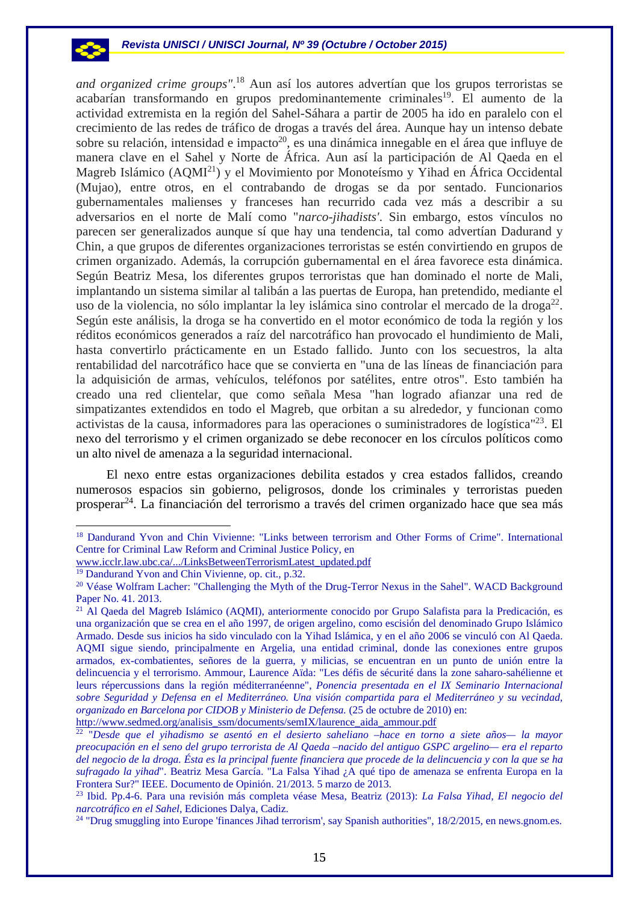*and organized crime groups"*. 18 Aun así los autores advertían que los grupos terroristas se acabarían transformando en grupos predominantemente criminales<sup>19</sup>. El aumento de la actividad extremista en la región del Sahel-Sáhara a partir de 2005 ha ido en paralelo con el crecimiento de las redes de tráfico de drogas a través del área. Aunque hay un intenso debate sobre su relación, intensidad e impacto<sup>20</sup>, es una dinámica innegable en el área que influye de manera clave en el Sahel y Norte de África. Aun así la participación de Al Qaeda en el Magreb Islámico (AQMI21) y el Movimiento por Monoteísmo y Yihad en África Occidental (Mujao), entre otros, en el contrabando de drogas se da por sentado. Funcionarios gubernamentales malienses y franceses han recurrido cada vez más a describir a su adversarios en el norte de Malí como "*narco-jihadists'*. Sin embargo, estos vínculos no parecen ser generalizados aunque sí que hay una tendencia, tal como advertían Dadurand y Chin, a que grupos de diferentes organizaciones terroristas se estén convirtiendo en grupos de crimen organizado. Además, la corrupción gubernamental en el área favorece esta dinámica. Según Beatriz Mesa, los diferentes grupos terroristas que han dominado el norte de Mali, implantando un sistema similar al talibán a las puertas de Europa, han pretendido, mediante el uso de la violencia, no sólo implantar la ley islámica sino controlar el mercado de la droga<sup>22</sup>. Según este análisis, la droga se ha convertido en el motor económico de toda la región y los réditos económicos generados a raíz del narcotráfico han provocado el hundimiento de Mali, hasta convertirlo prácticamente en un Estado fallido. Junto con los secuestros, la alta rentabilidad del narcotráfico hace que se convierta en "una de las líneas de financiación para la adquisición de armas, vehículos, teléfonos por satélites, entre otros". Esto también ha creado una red clientelar, que como señala Mesa "han logrado afianzar una red de simpatizantes extendidos en todo el Magreb, que orbitan a su alrededor, y funcionan como activistas de la causa, informadores para las operaciones o suministradores de logística"23. El nexo del terrorismo y el crimen organizado se debe reconocer en los círculos políticos como un alto nivel de amenaza a la seguridad internacional.

El nexo entre estas organizaciones debilita estados y crea estados fallidos, creando numerosos espacios sin gobierno, peligrosos, donde los criminales y terroristas pueden prosperar<sup>24</sup>. La financiación del terrorismo a través del crimen organizado hace que sea más

<sup>&</sup>lt;sup>18</sup> Dandurand Yvon and Chin Vivienne: "Links between terrorism and Other Forms of Crime". International Centre for Criminal Law Reform and Criminal Justice Policy, en

www.icclr.law.ubc.ca/.../LinksBetweenTerrorismLatest\_updated.pdf

<sup>&</sup>lt;sup>19</sup> Dandurand Yvon and Chin Vivienne, op. cit., p.32.

<sup>&</sup>lt;sup>20</sup> Véase Wolfram Lacher: "Challenging the Myth of the Drug-Terror Nexus in the Sahel". WACD Background Paper No. 41. 2013.

<sup>&</sup>lt;sup>21</sup> Al Qaeda del Magreb Islámico (AQMI), anteriormente conocido por Grupo Salafista para la Predicación, es una organización que se crea en el año 1997, de origen argelino, como escisión del denominado Grupo Islámico Armado. Desde sus inicios ha sido vinculado con la Yihad Islámica, y en el año 2006 se vinculó con Al Qaeda. AQMI sigue siendo, principalmente en Argelia, una entidad criminal, donde las conexiones entre grupos armados, ex-combatientes, señores de la guerra, y milicias, se encuentran en un punto de unión entre la delincuencia y el terrorismo. Ammour, Laurence Aïda: "Les défis de sécurité dans la zone saharo-sahélienne et leurs répercussions dans la región méditerranéenne", *Ponencia presentada en el IX Seminario Internacional sobre Seguridad y Defensa en el Mediterráneo. Una visión compartida para el Mediterráneo y su vecindad, organizado en Barcelona por CIDOB y Ministerio de Defensa.* (25 de octubre de 2010) en:

http://www.sedmed.org/analisis\_ssm/documents/semIX/laurence\_aida\_ammour.pdf 22 "*Desde que el yihadismo se asentó en el desierto saheliano –hace en torno a siete años— la mayor preocupación en el seno del grupo terrorista de Al Qaeda –nacido del antiguo GSPC argelino— era el reparto del negocio de la droga. Ésta es la principal fuente financiera que procede de la delincuencia y con la que se ha sufragado la yihad*". Beatriz Mesa García. "La Falsa Yihad ¿A qué tipo de amenaza se enfrenta Europa en la Frontera Sur?" IEEE. Documento de Opinión. 21/2013. 5 marzo de 2013. 23 Ibid. Pp.4-6. Para una revisión más completa véase Mesa, Beatriz (2013): *La Falsa Yihad, El negocio del* 

*narcotráfico en el Sahel*, Ediciones Dalya, Cadiz.<br><sup>24</sup> "Drug smuggling into Europe 'finances Jihad terrorism', say Spanish authorities", 18/2/2015, en news.gnom.es.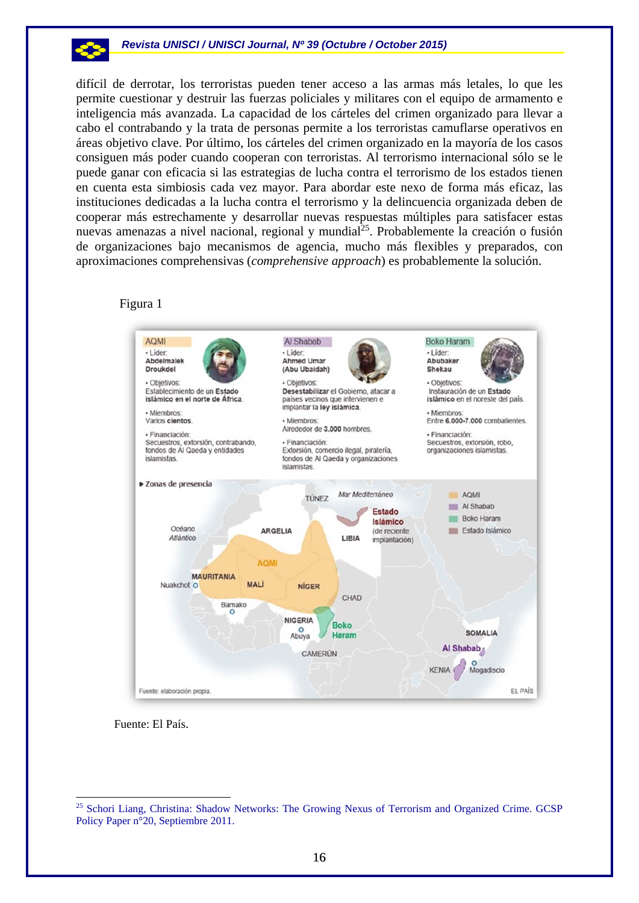difícil de derrotar, los terroristas pueden tener acceso a las armas más letales, lo que les permite cuestionar y destruir las fuerzas policiales y militares con el equipo de armamento e inteligencia más avanzada. La capacidad de los cárteles del crimen organizado para llevar a cabo el contrabando y la trata de personas permite a los terroristas camuflarse operativos en áreas objetivo clave. Por último, los cárteles del crimen organizado en la mayoría de los casos consiguen más poder cuando cooperan con terroristas. Al terrorismo internacional sólo se le puede ganar con eficacia si las estrategias de lucha contra el terrorismo de los estados tienen en cuenta esta simbiosis cada vez mayor. Para abordar este nexo de forma más eficaz, las instituciones dedicadas a la lucha contra el terrorismo y la delincuencia organizada deben de cooperar más estrechamente y desarrollar nuevas respuestas múltiples para satisfacer estas nuevas amenazas a nivel nacional, regional y mundial<sup>25</sup>. Probablemente la creación o fusión de organizaciones bajo mecanismos de agencia, mucho más flexibles y preparados, con aproximaciones comprehensivas (*comprehensive approach*) es probablemente la solución.

### Figura 1

83



Fuente: El País.

<sup>&</sup>lt;sup>25</sup> Schori Liang, Christina: Shadow Networks: The Growing Nexus of Terrorism and Organized Crime. GCSP Policy Paper n°20, Septiembre 2011.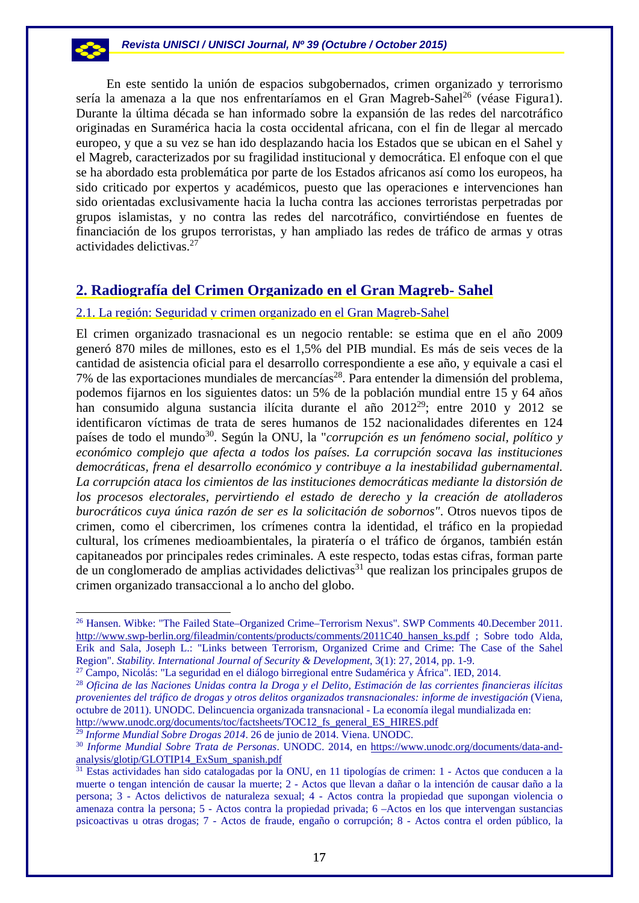En este sentido la unión de espacios subgobernados, crimen organizado y terrorismo sería la amenaza a la que nos enfrentaríamos en el Gran Magreb-Sahel<sup>26</sup> (véase Figura1). Durante la última década se han informado sobre la expansión de las redes del narcotráfico originadas en Suramérica hacia la costa occidental africana, con el fin de llegar al mercado europeo, y que a su vez se han ido desplazando hacia los Estados que se ubican en el Sahel y el Magreb, caracterizados por su fragilidad institucional y democrática. El enfoque con el que se ha abordado esta problemática por parte de los Estados africanos así como los europeos, ha sido criticado por expertos y académicos, puesto que las operaciones e intervenciones han sido orientadas exclusivamente hacia la lucha contra las acciones terroristas perpetradas por grupos islamistas, y no contra las redes del narcotráfico, convirtiéndose en fuentes de financiación de los grupos terroristas, y han ampliado las redes de tráfico de armas y otras actividades delictivas.27

# **2. Radiografía del Crimen Organizado en el Gran Magreb- Sahel**

### 2.1. La región: Seguridad y crimen organizado en el Gran Magreb-Sahel

El crimen organizado trasnacional es un negocio rentable: se estima que en el año 2009 generó 870 miles de millones, esto es el 1,5% del PIB mundial. Es más de seis veces de la cantidad de asistencia oficial para el desarrollo correspondiente a ese año, y equivale a casi el 7% de las exportaciones mundiales de mercancías<sup>28</sup>. Para entender la dimensión del problema, podemos fijarnos en los siguientes datos: un 5% de la población mundial entre 15 y 64 años han consumido alguna sustancia ilícita durante el año 201229; entre 2010 y 2012 se identificaron víctimas de trata de seres humanos de 152 nacionalidades diferentes en 124 países de todo el mundo<sup>30</sup>. Según la ONU, la "*corrupción es un fenómeno social, político y económico complejo que afecta a todos los países. La corrupción socava las instituciones democráticas, frena el desarrollo económico y contribuye a la inestabilidad gubernamental. La corrupción ataca los cimientos de las instituciones democráticas mediante la distorsión de los procesos electorales, pervirtiendo el estado de derecho y la creación de atolladeros burocráticos cuya única razón de ser es la solicitación de sobornos"*. Otros nuevos tipos de crimen, como el cibercrimen, los crímenes contra la identidad, el tráfico en la propiedad cultural, los crímenes medioambientales, la piratería o el tráfico de órganos, también están capitaneados por principales redes criminales. A este respecto, todas estas cifras, forman parte de un conglomerado de amplias actividades delictivas<sup>31</sup> que realizan los principales grupos de crimen organizado transaccional a lo ancho del globo.

<sup>-</sup>26 Hansen. Wibke: "The Failed State–Organized Crime–Terrorism Nexus". SWP Comments 40.December 2011. http://www.swp-berlin.org/fileadmin/contents/products/comments/2011C40\_hansen\_ks.pdf ; Sobre todo Alda, Erik and Sala, Joseph L.: "Links between Terrorism, Organized Crime and Crime: The Case of the Sahel Region". Stability. International Journal of Security & Development, 3(1): 27, 2014, pp. 1-9.<br><sup>27</sup> Campo, Nicolás: "La seguridad en el diálogo birregional entre Sudamérica y África". IED, 2014.<br><sup>28</sup> Oficina de las Naciones

*provenientes del tráfico de drogas y otros delitos organizados transnacionales: informe de investigación* (Viena, octubre de 2011). UNODC. Delincuencia organizada transnacional - La economía ilegal mundializada en: http://www.unodc.org/documents/toc/factsheets/TOC12\_fs\_general\_ES\_HIRES.pdf

<sup>29</sup> *Informe Mundial Sobre Drogas 2014*. 26 de junio de 2014. Viena. UNODC. 30 *Informe Mundial Sobre Trata de Personas*. UNODC. 2014, en https://www.unodc.org/documents/data-andanalysis/glotip/GLOTIP14\_ExSum\_spanish.pdf

<sup>31</sup> Estas actividades han sido catalogadas por la ONU, en 11 tipologías de crimen: 1 - Actos que conducen a la muerte o tengan intención de causar la muerte; 2 - Actos que llevan a dañar o la intención de causar daño a la persona; 3 - Actos delictivos de naturaleza sexual; 4 - Actos contra la propiedad que supongan violencia o amenaza contra la persona; 5 - Actos contra la propiedad privada; 6 –Actos en los que intervengan sustancias psicoactivas u otras drogas; 7 - Actos de fraude, engaño o corrupción; 8 - Actos contra el orden público, la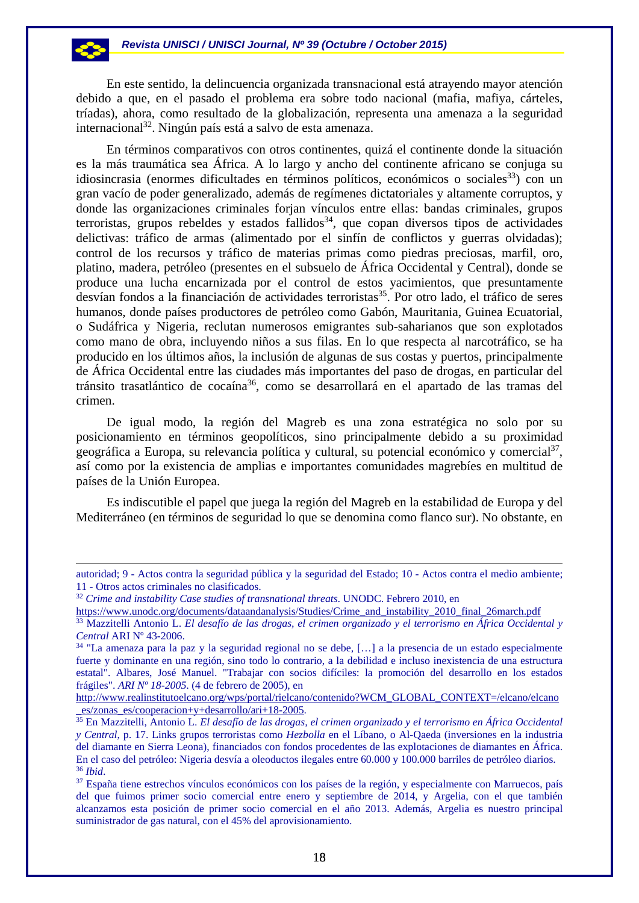En este sentido, la delincuencia organizada transnacional está atrayendo mayor atención debido a que, en el pasado el problema era sobre todo nacional (mafia, mafiya, cárteles, tríadas), ahora, como resultado de la globalización, representa una amenaza a la seguridad internacional<sup>32</sup>. Ningún país está a salvo de esta amenaza.

En términos comparativos con otros continentes, quizá el continente donde la situación es la más traumática sea África. A lo largo y ancho del continente africano se conjuga su idiosincrasia (enormes dificultades en términos políticos, económicos o sociales<sup>33</sup>) con un gran vacío de poder generalizado, además de regímenes dictatoriales y altamente corruptos, y donde las organizaciones criminales forjan vínculos entre ellas: bandas criminales, grupos terroristas, grupos rebeldes y estados fallidos $34$ , que copan diversos tipos de actividades delictivas: tráfico de armas (alimentado por el sinfín de conflictos y guerras olvidadas); control de los recursos y tráfico de materias primas como piedras preciosas, marfil, oro, platino, madera, petróleo (presentes en el subsuelo de África Occidental y Central), donde se produce una lucha encarnizada por el control de estos yacimientos, que presuntamente desvían fondos a la financiación de actividades terroristas<sup>35</sup>. Por otro lado, el tráfico de seres humanos, donde países productores de petróleo como Gabón, Mauritania, Guinea Ecuatorial, o Sudáfrica y Nigeria, reclutan numerosos emigrantes sub-saharianos que son explotados como mano de obra, incluyendo niños a sus filas. En lo que respecta al narcotráfico, se ha producido en los últimos años, la inclusión de algunas de sus costas y puertos, principalmente de África Occidental entre las ciudades más importantes del paso de drogas, en particular del tránsito trasatlántico de cocaína<sup>36</sup>, como se desarrollará en el apartado de las tramas del crimen.

De igual modo, la región del Magreb es una zona estratégica no solo por su posicionamiento en términos geopolíticos, sino principalmente debido a su proximidad geográfica a Europa, su relevancia política y cultural, su potencial económico y comercial<sup>37</sup>, así como por la existencia de amplias e importantes comunidades magrebíes en multitud de países de la Unión Europea.

Es indiscutible el papel que juega la región del Magreb en la estabilidad de Europa y del Mediterráneo (en términos de seguridad lo que se denomina como flanco sur). No obstante, en

autoridad; 9 - Actos contra la seguridad pública y la seguridad del Estado; 10 - Actos contra el medio ambiente; 11 - Otros actos criminales no clasificados.

<sup>32</sup> *Crime and instability Case studies of transnational threats*. UNODC. Febrero 2010, en

https://www.unodc.org/documents/dataandanalysis/Studies/Crime\_and\_instability\_2010\_final\_26march.pdf

<sup>33</sup> Mazzitelli Antonio L. *El desafío de las drogas, el crimen organizado y el terrorismo en África Occidental y Central* ARI Nº 43-2006.<br><sup>34</sup> "La amenaza para la paz y la seguridad regional no se debe, [...] a la presencia de un estado especialmente

fuerte y dominante en una región, sino todo lo contrario, a la debilidad e incluso inexistencia de una estructura estatal". Albares, José Manuel. "Trabajar con socios difíciles: la promoción del desarrollo en los estados frágiles". *ARI Nº 18-2005*. (4 de febrero de 2005), en

http://www.realinstitutoelcano.org/wps/portal/rielcano/contenido?WCM\_GLOBAL\_CONTEXT=/elcano/elcano \_es/zonas\_es/cooperacion+y+desarrollo/ari+18-2005. 35 En Mazzitelli, Antonio L. *El desafío de las drogas, el crimen organizado y el terrorismo en África Occidental* 

*y Central*, p. 17. Links grupos terroristas como *Hezbolla* en el Líbano, o Al-Qaeda (inversiones en la industria del diamante en Sierra Leona), financiados con fondos procedentes de las explotaciones de diamantes en África. En el caso del petróleo: Nigeria desvía a oleoductos ilegales entre 60.000 y 100.000 barriles de petróleo diarios. <sup>36</sup> *Ibid*. 37 España tiene estrechos vínculos económicos con los países de la región, y especialmente con Marruecos, país

del que fuimos primer socio comercial entre enero y septiembre de 2014, y Argelia, con el que también alcanzamos esta posición de primer socio comercial en el año 2013. Además, Argelia es nuestro principal suministrador de gas natural, con el 45% del aprovisionamiento.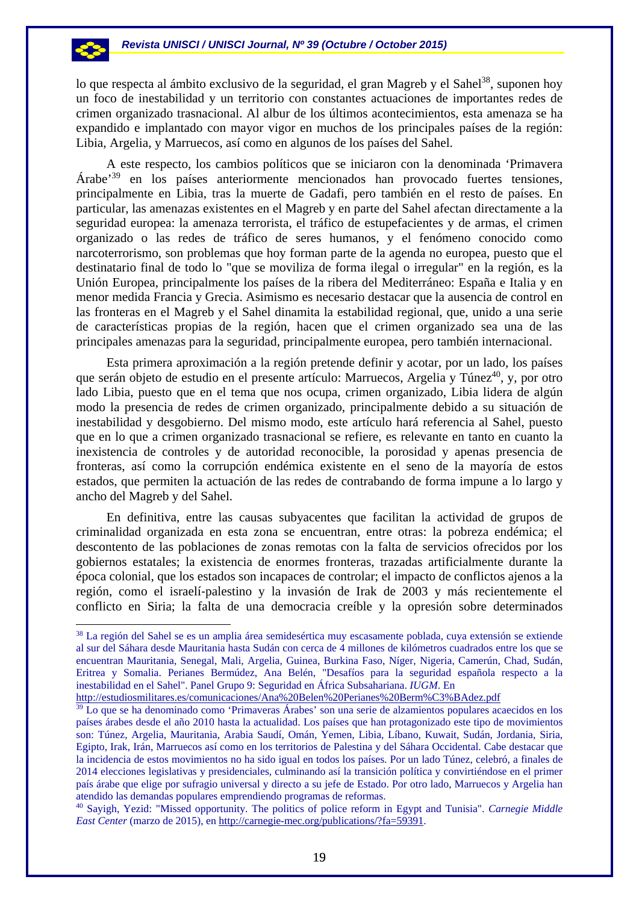lo que respecta al ámbito exclusivo de la seguridad, el gran Magreb y el Sahel<sup>38</sup>, suponen hoy un foco de inestabilidad y un territorio con constantes actuaciones de importantes redes de crimen organizado trasnacional. Al albur de los últimos acontecimientos, esta amenaza se ha expandido e implantado con mayor vigor en muchos de los principales países de la región: Libia, Argelia, y Marruecos, así como en algunos de los países del Sahel.

A este respecto, los cambios políticos que se iniciaron con la denominada 'Primavera Árabe'39 en los países anteriormente mencionados han provocado fuertes tensiones, principalmente en Libia, tras la muerte de Gadafi, pero también en el resto de países. En particular, las amenazas existentes en el Magreb y en parte del Sahel afectan directamente a la seguridad europea: la amenaza terrorista, el tráfico de estupefacientes y de armas, el crimen organizado o las redes de tráfico de seres humanos, y el fenómeno conocido como narcoterrorismo, son problemas que hoy forman parte de la agenda no europea, puesto que el destinatario final de todo lo "que se moviliza de forma ilegal o irregular" en la región, es la Unión Europea, principalmente los países de la ribera del Mediterráneo: España e Italia y en menor medida Francia y Grecia. Asimismo es necesario destacar que la ausencia de control en las fronteras en el Magreb y el Sahel dinamita la estabilidad regional, que, unido a una serie de características propias de la región, hacen que el crimen organizado sea una de las principales amenazas para la seguridad, principalmente europea, pero también internacional.

Esta primera aproximación a la región pretende definir y acotar, por un lado, los países que serán objeto de estudio en el presente artículo: Marruecos, Argelia y Túnez<sup>40</sup>, y, por otro lado Libia, puesto que en el tema que nos ocupa, crimen organizado, Libia lidera de algún modo la presencia de redes de crimen organizado, principalmente debido a su situación de inestabilidad y desgobierno. Del mismo modo, este artículo hará referencia al Sahel, puesto que en lo que a crimen organizado trasnacional se refiere, es relevante en tanto en cuanto la inexistencia de controles y de autoridad reconocible, la porosidad y apenas presencia de fronteras, así como la corrupción endémica existente en el seno de la mayoría de estos estados, que permiten la actuación de las redes de contrabando de forma impune a lo largo y ancho del Magreb y del Sahel.

En definitiva, entre las causas subyacentes que facilitan la actividad de grupos de criminalidad organizada en esta zona se encuentran, entre otras: la pobreza endémica; el descontento de las poblaciones de zonas remotas con la falta de servicios ofrecidos por los gobiernos estatales; la existencia de enormes fronteras, trazadas artificialmente durante la época colonial, que los estados son incapaces de controlar; el impacto de conflictos ajenos a la región, como el israelí‐palestino y la invasión de Irak de 2003 y más recientemente el conflicto en Siria; la falta de una democracia creíble y la opresión sobre determinados

<sup>38</sup> La región del Sahel se es un amplia área semidesértica muy escasamente poblada, cuya extensión se extiende al sur del Sáhara desde Mauritania hasta Sudán con cerca de 4 millones de kilómetros cuadrados entre los que se encuentran Mauritania, Senegal, Mali, Argelia, Guinea, Burkina Faso, Níger, Nigeria, Camerún, Chad, Sudán, Eritrea y Somalia. Perianes Bermúdez, Ana Belén, "Desafíos para la seguridad española respecto a la inestabilidad en el Sahel". Panel Grupo 9: Seguridad en África Subsahariana. *IUGM*. En

http://estudiosmilitares.es/comunicaciones/Ana%20Belen%20Perianes%20Berm%C3%BAdez.pdf

<sup>39</sup> Lo que se ha denominado como 'Primaveras Árabes' son una serie de alzamientos populares acaecidos en los países árabes desde el año 2010 hasta la actualidad. Los países que han protagonizado este tipo de movimientos son: Túnez, Argelia, Mauritania, Arabia Saudí, Omán, Yemen, Libia, Líbano, Kuwait, Sudán, Jordania, Siria, Egipto, Irak, Irán, Marruecos así como en los territorios de Palestina y del Sáhara Occidental. Cabe destacar que la incidencia de estos movimientos no ha sido igual en todos los países. Por un lado Túnez, celebró, a finales de 2014 elecciones legislativas y presidenciales, culminando así la transición política y convirtiéndose en el primer país árabe que elige por sufragio universal y directo a su jefe de Estado. Por otro lado, Marruecos y Argelia han atendido las demandas populares emprendiendo programas de reformas.

<sup>40</sup> Sayigh, Yezid: "Missed opportunity. The politics of police reform in Egypt and Tunisia". *Carnegie Middle East Center* (marzo de 2015), en http://carnegie-mec.org/publications/?fa=59391.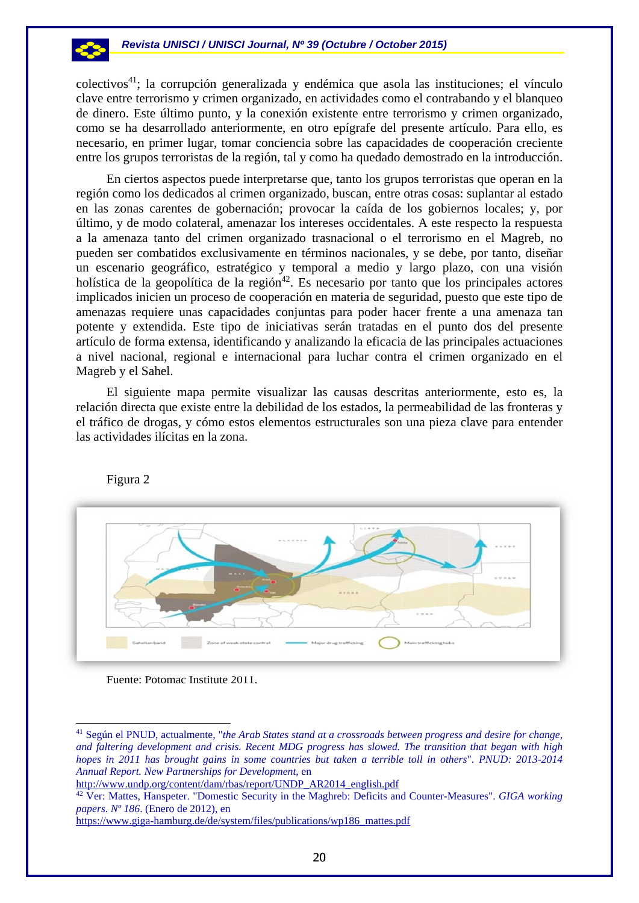colectivos<sup>41</sup>; la corrupción generalizada y endémica que asola las instituciones; el vínculo clave entre terrorismo y crimen organizado, en actividades como el contrabando y el blanqueo de dinero. Este último punto, y la conexión existente entre terrorismo y crimen organizado, como se ha desarrollado anteriormente, en otro epígrafe del presente artículo. Para ello, es necesario, en primer lugar, tomar conciencia sobre las capacidades de cooperación creciente entre los grupos terroristas de la región, tal y como ha quedado demostrado en la introducción.

En ciertos aspectos puede interpretarse que, tanto los grupos terroristas que operan en la región como los dedicados al crimen organizado, buscan, entre otras cosas: suplantar al estado en las zonas carentes de gobernación; provocar la caída de los gobiernos locales; y, por último, y de modo colateral, amenazar los intereses occidentales. A este respecto la respuesta a la amenaza tanto del crimen organizado trasnacional o el terrorismo en el Magreb, no pueden ser combatidos exclusivamente en términos nacionales, y se debe, por tanto, diseñar un escenario geográfico, estratégico y temporal a medio y largo plazo, con una visión holística de la geopolítica de la región $42$ . Es necesario por tanto que los principales actores implicados inicien un proceso de cooperación en materia de seguridad, puesto que este tipo de amenazas requiere unas capacidades conjuntas para poder hacer frente a una amenaza tan potente y extendida. Este tipo de iniciativas serán tratadas en el punto dos del presente artículo de forma extensa, identificando y analizando la eficacia de las principales actuaciones a nivel nacional, regional e internacional para luchar contra el crimen organizado en el Magreb y el Sahel.

El siguiente mapa permite visualizar las causas descritas anteriormente, esto es, la relación directa que existe entre la debilidad de los estados, la permeabilidad de las fronteras y el tráfico de drogas, y cómo estos elementos estructurales son una pieza clave para entender las actividades ilícitas en la zona.



### Figura 2

-

Fuente: Potomac Institute 2011.

http://www.undp.org/content/dam/rbas/report/UNDP\_AR2014\_english.pdf 42 Ver: Mattes, Hanspeter. "Domestic Security in the Maghreb: Deficits and Counter-Measures". *GIGA working papers*. *Nº 186*. (Enero de 2012), en

https://www.giga-hamburg.de/de/system/files/publications/wp186\_mattes.pdf

<sup>41</sup> Según el PNUD, actualmente, "*the Arab States stand at a crossroads between progress and desire for change, and faltering development and crisis. Recent MDG progress has slowed. The transition that began with high hopes in 2011 has brought gains in some countries but taken a terrible toll in others*". *PNUD: 2013-2014 Annual Report. New Partnerships for Development*, en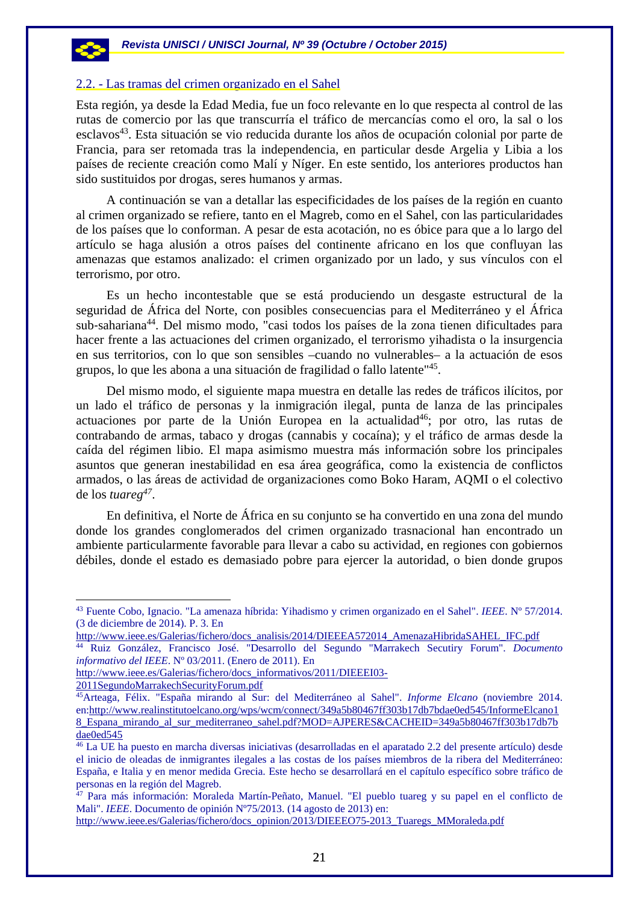### 2.2. - Las tramas del crimen organizado en el Sahel

Esta región, ya desde la Edad Media, fue un foco relevante en lo que respecta al control de las rutas de comercio por las que transcurría el tráfico de mercancías como el oro, la sal o los esclavos<sup>43</sup>. Esta situación se vio reducida durante los años de ocupación colonial por parte de Francia, para ser retomada tras la independencia, en particular desde Argelia y Libia a los países de reciente creación como Malí y Níger. En este sentido, los anteriores productos han sido sustituidos por drogas, seres humanos y armas.

A continuación se van a detallar las especificidades de los países de la región en cuanto al crimen organizado se refiere, tanto en el Magreb, como en el Sahel, con las particularidades de los países que lo conforman. A pesar de esta acotación, no es óbice para que a lo largo del artículo se haga alusión a otros países del continente africano en los que confluyan las amenazas que estamos analizado: el crimen organizado por un lado, y sus vínculos con el terrorismo, por otro.

Es un hecho incontestable que se está produciendo un desgaste estructural de la seguridad de África del Norte, con posibles consecuencias para el Mediterráneo y el África sub‐sahariana44. Del mismo modo, "casi todos los países de la zona tienen dificultades para hacer frente a las actuaciones del crimen organizado, el terrorismo yihadista o la insurgencia en sus territorios, con lo que son sensibles –cuando no vulnerables– a la actuación de esos grupos, lo que les abona a una situación de fragilidad o fallo latente"45.

Del mismo modo, el siguiente mapa muestra en detalle las redes de tráficos ilícitos, por un lado el tráfico de personas y la inmigración ilegal, punta de lanza de las principales actuaciones por parte de la Unión Europea en la actualidad<sup>46</sup>; por otro, las rutas de contrabando de armas, tabaco y drogas (cannabis y cocaína); y el tráfico de armas desde la caída del régimen libio. El mapa asimismo muestra más información sobre los principales asuntos que generan inestabilidad en esa área geográfica, como la existencia de conflictos armados, o las áreas de actividad de organizaciones como Boko Haram, AQMI o el colectivo de los *tuareg47*.

En definitiva, el Norte de África en su conjunto se ha convertido en una zona del mundo donde los grandes conglomerados del crimen organizado trasnacional han encontrado un ambiente particularmente favorable para llevar a cabo su actividad, en regiones con gobiernos débiles, donde el estado es demasiado pobre para ejercer la autoridad, o bien donde grupos

1

http://www.ieee.es/Galerias/fichero/docs\_opinion/2013/DIEEEO75-2013\_Tuaregs\_MMoraleda.pdf

<sup>43</sup> Fuente Cobo, Ignacio. "La amenaza híbrida: Yihadismo y crimen organizado en el Sahel". *IEEE*. Nº 57/2014. (3 de diciembre de 2014). P. 3. En

http://www.ieee.es/Galerias/fichero/docs\_analisis/2014/DIEEEA572014\_AmenazaHibridaSAHEL\_IFC.pdf 44 Ruiz González, Francisco José. "Desarrollo del Segundo "Marrakech Secutiry Forum". *Documento* 

*informativo del IEEE*. Nº 03/2011. (Enero de 2011). En

http://www.ieee.es/Galerias/fichero/docs\_informativos/2011/DIEEEI03-

<sup>2011</sup>SegundoMarrakechSecurityForum.pdf

<sup>45</sup>Arteaga, Félix. "España mirando al Sur: del Mediterráneo al Sahel". *Informe Elcano* (noviembre 2014. en:http://www.realinstitutoelcano.org/wps/wcm/connect/349a5b80467ff303b17db7bdae0ed545/InformeElcano1 8 Espana mirando al sur mediterraneo sahel.pdf?MOD=AJPERES&CACHEID=349a5b80467ff303b17db7b dae0ed545

<sup>46</sup> La UE ha puesto en marcha diversas iniciativas (desarrolladas en el aparatado 2.2 del presente artículo) desde el inicio de oleadas de inmigrantes ilegales a las costas de los países miembros de la ribera del Mediterráneo: España, e Italia y en menor medida Grecia. Este hecho se desarrollará en el capítulo específico sobre tráfico de personas en la región del Magreb.

<sup>&</sup>lt;sup>47</sup> Para más información: Moraleda Martín-Peñato, Manuel. "El pueblo tuareg y su papel en el conflicto de Mali". *IEEE*. Documento de opinión Nº75/2013. (14 agosto de 2013) en: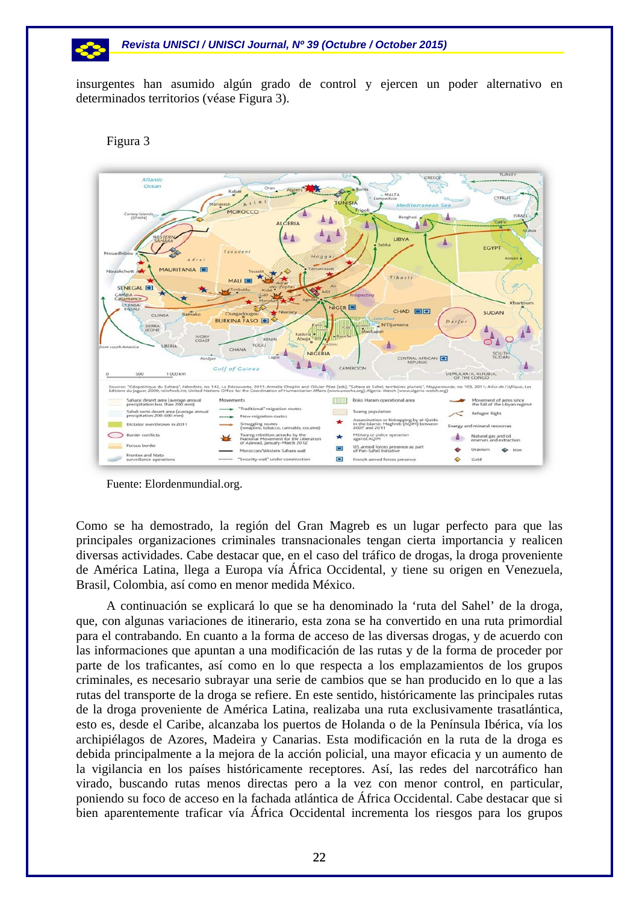

insurgentes han asumido algún grado de control y ejercen un poder alternativo en determinados territorios (véase Figura 3).



## Figura 3

Fuente: Elordenmundial.org.

Como se ha demostrado, la región del Gran Magreb es un lugar perfecto para que las principales organizaciones criminales transnacionales tengan cierta importancia y realicen diversas actividades. Cabe destacar que, en el caso del tráfico de drogas, la droga proveniente de América Latina, llega a Europa vía África Occidental, y tiene su origen en Venezuela, Brasil, Colombia, así como en menor medida México.

A continuación se explicará lo que se ha denominado la 'ruta del Sahel' de la droga, que, con algunas variaciones de itinerario, esta zona se ha convertido en una ruta primordial para el contrabando. En cuanto a la forma de acceso de las diversas drogas, y de acuerdo con las informaciones que apuntan a una modificación de las rutas y de la forma de proceder por parte de los traficantes, así como en lo que respecta a los emplazamientos de los grupos criminales, es necesario subrayar una serie de cambios que se han producido en lo que a las rutas del transporte de la droga se refiere. En este sentido, históricamente las principales rutas de la droga proveniente de América Latina, realizaba una ruta exclusivamente trasatlántica, esto es, desde el Caribe, alcanzaba los puertos de Holanda o de la Península Ibérica, vía los archipiélagos de Azores, Madeira y Canarias. Esta modificación en la ruta de la droga es debida principalmente a la mejora de la acción policial, una mayor eficacia y un aumento de la vigilancia en los países históricamente receptores. Así, las redes del narcotráfico han virado, buscando rutas menos directas pero a la vez con menor control, en particular, poniendo su foco de acceso en la fachada atlántica de África Occidental. Cabe destacar que si bien aparentemente traficar vía África Occidental incrementa los riesgos para los grupos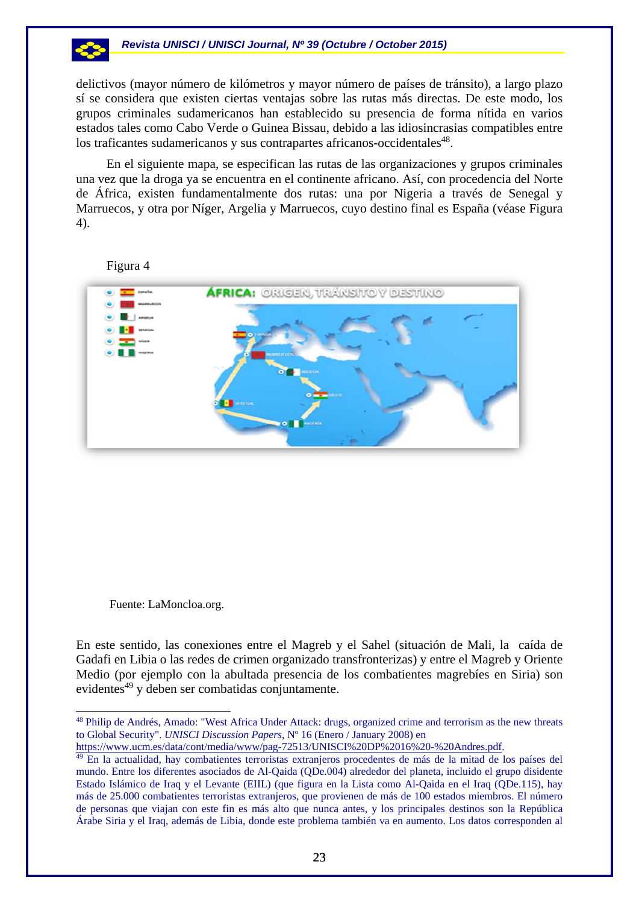delictivos (mayor número de kilómetros y mayor número de países de tránsito), a largo plazo sí se considera que existen ciertas ventajas sobre las rutas más directas. De este modo, los grupos criminales sudamericanos han establecido su presencia de forma nítida en varios estados tales como Cabo Verde o Guinea Bissau, debido a las idiosincrasias compatibles entre los traficantes sudamericanos y sus contrapartes africanos-occidentales<sup>48</sup>.

En el siguiente mapa, se especifican las rutas de las organizaciones y grupos criminales una vez que la droga ya se encuentra en el continente africano. Así, con procedencia del Norte de África, existen fundamentalmente dos rutas: una por Nigeria a través de Senegal y Marruecos, y otra por Níger, Argelia y Marruecos, cuyo destino final es España (véase Figura 4).

#### Figura 4



Fuente: LaMoncloa.org.

1

En este sentido, las conexiones entre el Magreb y el Sahel (situación de Mali, la caída de Gadafi en Libia o las redes de crimen organizado transfronterizas) y entre el Magreb y Oriente Medio (por ejemplo con la abultada presencia de los combatientes magrebíes en Siria) son evidentes<sup>49</sup> y deben ser combatidas conjuntamente.

<sup>48</sup> Philip de Andrés, Amado: "West Africa Under Attack: drugs, organized crime and terrorism as the new threats to Global Security". *UNISCI Discussion Papers*, Nº 16 (Enero / January 2008) en

https://www.ucm.es/data/cont/media/www/pag-72513/UNISCI%20DP%2016%20-%20Andres.pdf.

<sup>&</sup>lt;sup>49</sup> En la actualidad, hay combatientes terroristas extranjeros procedentes de más de la mitad de los países del mundo. Entre los diferentes asociados de Al-Qaida (QDe.004) alrededor del planeta, incluido el grupo disidente Estado Islámico de Iraq y el Levante (EIIL) (que figura en la Lista como Al-Qaida en el Iraq (QDe.115), hay más de 25.000 combatientes terroristas extranjeros, que provienen de más de 100 estados miembros. El número de personas que viajan con este fin es más alto que nunca antes, y los principales destinos son la República Árabe Siria y el Iraq, además de Libia, donde este problema también va en aumento. Los datos corresponden al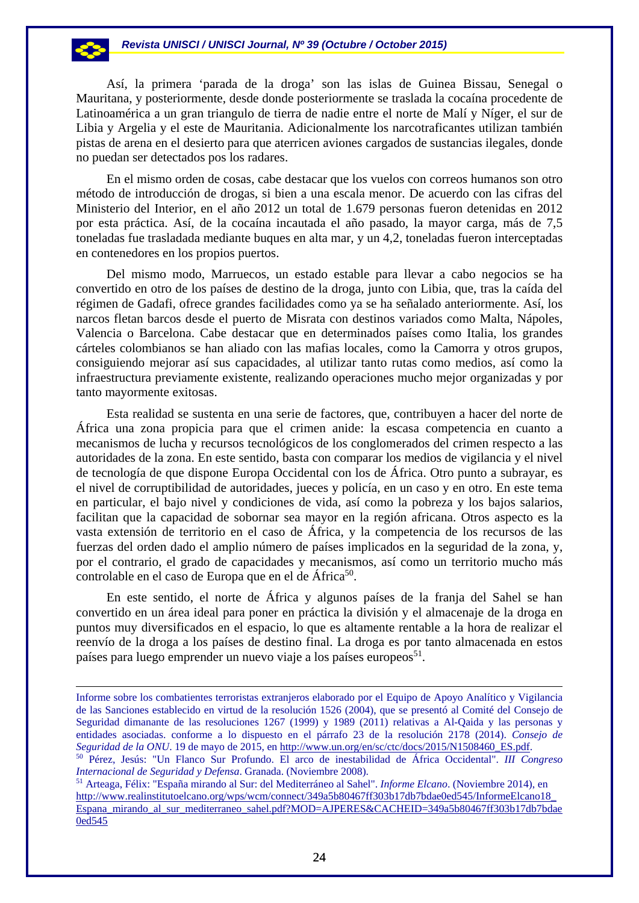Así, la primera 'parada de la droga' son las islas de Guinea Bissau, Senegal o Mauritana, y posteriormente, desde donde posteriormente se traslada la cocaína procedente de Latinoamérica a un gran triangulo de tierra de nadie entre el norte de Malí y Níger, el sur de Libia y Argelia y el este de Mauritania. Adicionalmente los narcotraficantes utilizan también pistas de arena en el desierto para que aterricen aviones cargados de sustancias ilegales, donde no puedan ser detectados pos los radares.

En el mismo orden de cosas, cabe destacar que los vuelos con correos humanos son otro método de introducción de drogas, si bien a una escala menor. De acuerdo con las cifras del Ministerio del Interior, en el año 2012 un total de 1.679 personas fueron detenidas en 2012 por esta práctica. Así, de la cocaína incautada el año pasado, la mayor carga, más de 7,5 toneladas fue trasladada mediante buques en alta mar, y un 4,2, toneladas fueron interceptadas en contenedores en los propios puertos.

Del mismo modo, Marruecos, un estado estable para llevar a cabo negocios se ha convertido en otro de los países de destino de la droga, junto con Libia, que, tras la caída del régimen de Gadafi, ofrece grandes facilidades como ya se ha señalado anteriormente. Así, los narcos fletan barcos desde el puerto de Misrata con destinos variados como Malta, Nápoles, Valencia o Barcelona. Cabe destacar que en determinados países como Italia, los grandes cárteles colombianos se han aliado con las mafias locales, como la Camorra y otros grupos, consiguiendo mejorar así sus capacidades, al utilizar tanto rutas como medios, así como la infraestructura previamente existente, realizando operaciones mucho mejor organizadas y por tanto mayormente exitosas.

Esta realidad se sustenta en una serie de factores, que, contribuyen a hacer del norte de África una zona propicia para que el crimen anide: la escasa competencia en cuanto a mecanismos de lucha y recursos tecnológicos de los conglomerados del crimen respecto a las autoridades de la zona. En este sentido, basta con comparar los medios de vigilancia y el nivel de tecnología de que dispone Europa Occidental con los de África. Otro punto a subrayar, es el nivel de corruptibilidad de autoridades, jueces y policía, en un caso y en otro. En este tema en particular, el bajo nivel y condiciones de vida, así como la pobreza y los bajos salarios, facilitan que la capacidad de sobornar sea mayor en la región africana. Otros aspecto es la vasta extensión de territorio en el caso de África, y la competencia de los recursos de las fuerzas del orden dado el amplio número de países implicados en la seguridad de la zona, y, por el contrario, el grado de capacidades y mecanismos, así como un territorio mucho más controlable en el caso de Europa que en el de África<sup>50</sup>.

En este sentido, el norte de África y algunos países de la franja del Sahel se han convertido en un área ideal para poner en práctica la división y el almacenaje de la droga en puntos muy diversificados en el espacio, lo que es altamente rentable a la hora de realizar el reenvío de la droga a los países de destino final. La droga es por tanto almacenada en estos países para luego emprender un nuevo viaje a los países europeos<sup>51</sup>.

-

*Internacional de Seguridad y Defensa*. Granada. (Noviembre 2008). 51 Arteaga, Félix: "España mirando al Sur: del Mediterráneo al Sahel". *Informe Elcano*. (Noviembre 2014), en

http://www.realinstitutoelcano.org/wps/wcm/connect/349a5b80467ff303b17db7bdae0ed545/InformeElcano18\_ Espana\_mirando\_al\_sur\_mediterraneo\_sahel.pdf?MOD=AJPERES&CACHEID=349a5b80467ff303b17db7bdae 0ed545

Informe sobre los combatientes terroristas extranjeros elaborado por el Equipo de Apoyo Analítico y Vigilancia de las Sanciones establecido en virtud de la resolución 1526 (2004), que se presentó al Comité del Consejo de Seguridad dimanante de las resoluciones 1267 (1999) y 1989 (2011) relativas a Al-Qaida y las personas y entidades asociadas. conforme a lo dispuesto en el párrafo 23 de la resolución 2178 (2014). *Consejo de Seguridad de la ONU*. 19 de mayo de 2015, en http://www.un.org/en/sc/ctc/docs/2015/N1508460\_ES.pdf. 50 Pérez, Jesús: "Un Flanco Sur Profundo. El arco de inestabilidad de África Occidental". *III Congreso*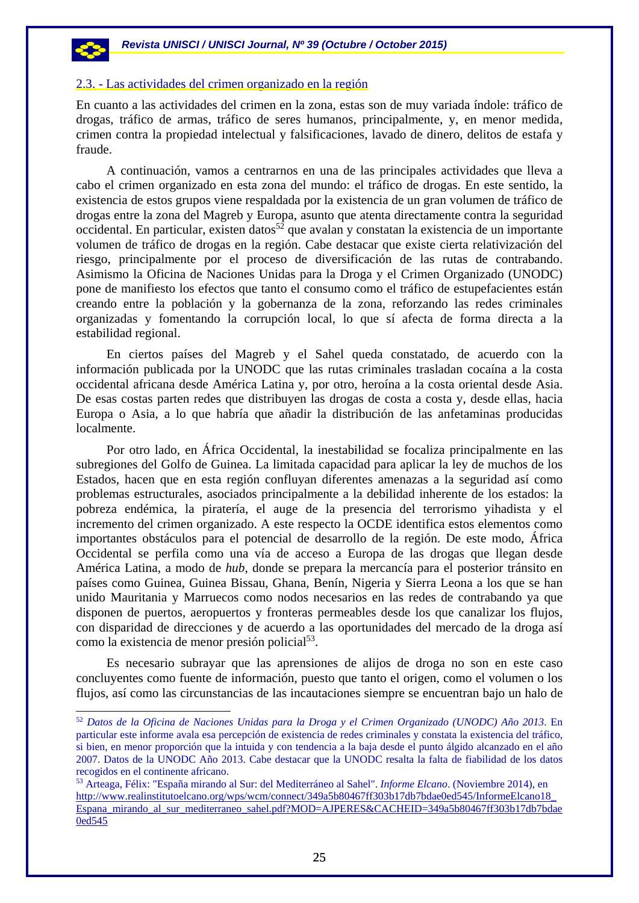#### 2.3. - Las actividades del crimen organizado en la región

En cuanto a las actividades del crimen en la zona, estas son de muy variada índole: tráfico de drogas, tráfico de armas, tráfico de seres humanos, principalmente, y, en menor medida, crimen contra la propiedad intelectual y falsificaciones, lavado de dinero, delitos de estafa y fraude.

A continuación, vamos a centrarnos en una de las principales actividades que lleva a cabo el crimen organizado en esta zona del mundo: el tráfico de drogas. En este sentido, la existencia de estos grupos viene respaldada por la existencia de un gran volumen de tráfico de drogas entre la zona del Magreb y Europa, asunto que atenta directamente contra la seguridad occidental. En particular, existen datos<sup>52</sup> que avalan y constatan la existencia de un importante volumen de tráfico de drogas en la región. Cabe destacar que existe cierta relativización del riesgo, principalmente por el proceso de diversificación de las rutas de contrabando. Asimismo la Oficina de Naciones Unidas para la Droga y el Crimen Organizado (UNODC) pone de manifiesto los efectos que tanto el consumo como el tráfico de estupefacientes están creando entre la población y la gobernanza de la zona, reforzando las redes criminales organizadas y fomentando la corrupción local, lo que sí afecta de forma directa a la estabilidad regional.

En ciertos países del Magreb y el Sahel queda constatado, de acuerdo con la información publicada por la UNODC que las rutas criminales trasladan cocaína a la costa occidental africana desde América Latina y, por otro, heroína a la costa oriental desde Asia. De esas costas parten redes que distribuyen las drogas de costa a costa y, desde ellas, hacia Europa o Asia, a lo que habría que añadir la distribución de las anfetaminas producidas localmente.

Por otro lado, en África Occidental, la inestabilidad se focaliza principalmente en las subregiones del Golfo de Guinea. La limitada capacidad para aplicar la ley de muchos de los Estados, hacen que en esta región confluyan diferentes amenazas a la seguridad así como problemas estructurales, asociados principalmente a la debilidad inherente de los estados: la pobreza endémica, la piratería, el auge de la presencia del terrorismo yihadista y el incremento del crimen organizado. A este respecto la OCDE identifica estos elementos como importantes obstáculos para el potencial de desarrollo de la región. De este modo, África Occidental se perfila como una vía de acceso a Europa de las drogas que llegan desde América Latina, a modo de *hub*, donde se prepara la mercancía para el posterior tránsito en países como Guinea, Guinea Bissau, Ghana, Benín, Nigeria y Sierra Leona a los que se han unido Mauritania y Marruecos como nodos necesarios en las redes de contrabando ya que disponen de puertos, aeropuertos y fronteras permeables desde los que canalizar los flujos, con disparidad de direcciones y de acuerdo a las oportunidades del mercado de la droga así como la existencia de menor presión policial<sup>53</sup>.

Es necesario subrayar que las aprensiones de alijos de droga no son en este caso concluyentes como fuente de información, puesto que tanto el origen, como el volumen o los flujos, así como las circunstancias de las incautaciones siempre se encuentran bajo un halo de

1

<sup>52</sup> *Datos de la Oficina de Naciones Unidas para la Droga y el Crimen Organizado (UNODC) Año 2013*. En particular este informe avala esa percepción de existencia de redes criminales y constata la existencia del tráfico, si bien, en menor proporción que la intuida y con tendencia a la baja desde el punto álgido alcanzado en el año 2007. Datos de la UNODC Año 2013. Cabe destacar que la UNODC resalta la falta de fiabilidad de los datos recogidos en el continente africano.

<sup>53</sup> Arteaga, Félix: "España mirando al Sur: del Mediterráneo al Sahel". *Informe Elcano*. (Noviembre 2014), en http://www.realinstitutoelcano.org/wps/wcm/connect/349a5b80467ff303b17db7bdae0ed545/InformeElcano18\_ Espana\_mirando\_al\_sur\_mediterraneo\_sahel.pdf?MOD=AJPERES&CACHEID=349a5b80467ff303b17db7bdae 0ed545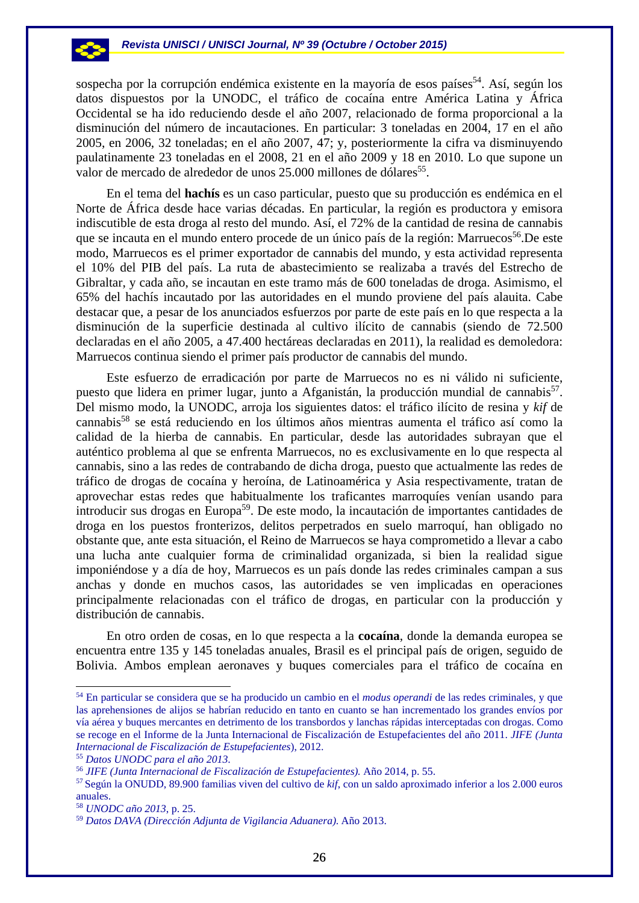sospecha por la corrupción endémica existente en la mayoría de esos países<sup>54</sup>. Así, según los datos dispuestos por la UNODC, el tráfico de cocaína entre América Latina y África Occidental se ha ido reduciendo desde el año 2007, relacionado de forma proporcional a la disminución del número de incautaciones. En particular: 3 toneladas en 2004, 17 en el año 2005, en 2006, 32 toneladas; en el año 2007, 47; y, posteriormente la cifra va disminuyendo paulatinamente 23 toneladas en el 2008, 21 en el año 2009 y 18 en 2010. Lo que supone un valor de mercado de alrededor de unos 25.000 millones de dólares<sup>55</sup>.

En el tema del **hachís** es un caso particular, puesto que su producción es endémica en el Norte de África desde hace varias décadas. En particular, la región es productora y emisora indiscutible de esta droga al resto del mundo. Así, el 72% de la cantidad de resina de cannabis que se incauta en el mundo entero procede de un único país de la región: Marruecos<sup>56</sup>.De este modo, Marruecos es el primer exportador de cannabis del mundo, y esta actividad representa el 10% del PIB del país. La ruta de abastecimiento se realizaba a través del Estrecho de Gibraltar, y cada año, se incautan en este tramo más de 600 toneladas de droga. Asimismo, el 65% del hachís incautado por las autoridades en el mundo proviene del país alauita. Cabe destacar que, a pesar de los anunciados esfuerzos por parte de este país en lo que respecta a la disminución de la superficie destinada al cultivo ilícito de cannabis (siendo de 72.500 declaradas en el año 2005, a 47.400 hectáreas declaradas en 2011), la realidad es demoledora: Marruecos continua siendo el primer país productor de cannabis del mundo.

Este esfuerzo de erradicación por parte de Marruecos no es ni válido ni suficiente, puesto que lidera en primer lugar, junto a Afganistán, la producción mundial de cannabis<sup>57</sup>. Del mismo modo, la UNODC, arroja los siguientes datos: el tráfico ilícito de resina y *kif* de cannabis58 se está reduciendo en los últimos años mientras aumenta el tráfico así como la calidad de la hierba de cannabis. En particular, desde las autoridades subrayan que el auténtico problema al que se enfrenta Marruecos, no es exclusivamente en lo que respecta al cannabis, sino a las redes de contrabando de dicha droga, puesto que actualmente las redes de tráfico de drogas de cocaína y heroína, de Latinoamérica y Asia respectivamente, tratan de aprovechar estas redes que habitualmente los traficantes marroquíes venían usando para introducir sus drogas en Europa<sup>59</sup>. De este modo, la incautación de importantes cantidades de droga en los puestos fronterizos, delitos perpetrados en suelo marroquí, han obligado no obstante que, ante esta situación, el Reino de Marruecos se haya comprometido a llevar a cabo una lucha ante cualquier forma de criminalidad organizada, si bien la realidad sigue imponiéndose y a día de hoy, Marruecos es un país donde las redes criminales campan a sus anchas y donde en muchos casos, las autoridades se ven implicadas en operaciones principalmente relacionadas con el tráfico de drogas, en particular con la producción y distribución de cannabis.

En otro orden de cosas, en lo que respecta a la **cocaína**, donde la demanda europea se encuentra entre 135 y 145 toneladas anuales, Brasil es el principal país de origen, seguido de Bolivia. Ambos emplean aeronaves y buques comerciales para el tráfico de cocaína en

<sup>54</sup> En particular se considera que se ha producido un cambio en el *modus operandi* de las redes criminales, y que las aprehensiones de alijos se habrían reducido en tanto en cuanto se han incrementado los grandes envíos por vía aérea y buques mercantes en detrimento de los transbordos y lanchas rápidas interceptadas con drogas. Como se recoge en el Informe de la Junta Internacional de Fiscalización de Estupefacientes del año 2011. *JIFE (Junta*  Internacional de Fiscalización de Estupefacientes), 2012.<br><sup>55</sup> Datos UNODC para el año 2013.<br><sup>56</sup> JIFE (Junta Internacional de Fiscalización de Estupefacientes). Año 2014, p. 55.<br><sup>57</sup> Según la ONUDD, 89.900 familias viven

anuales.

<sup>58</sup> *UNODC año 2013*, p. 25.

<sup>59</sup> *Datos DAVA (Dirección Adjunta de Vigilancia Aduanera)*. Año 2013.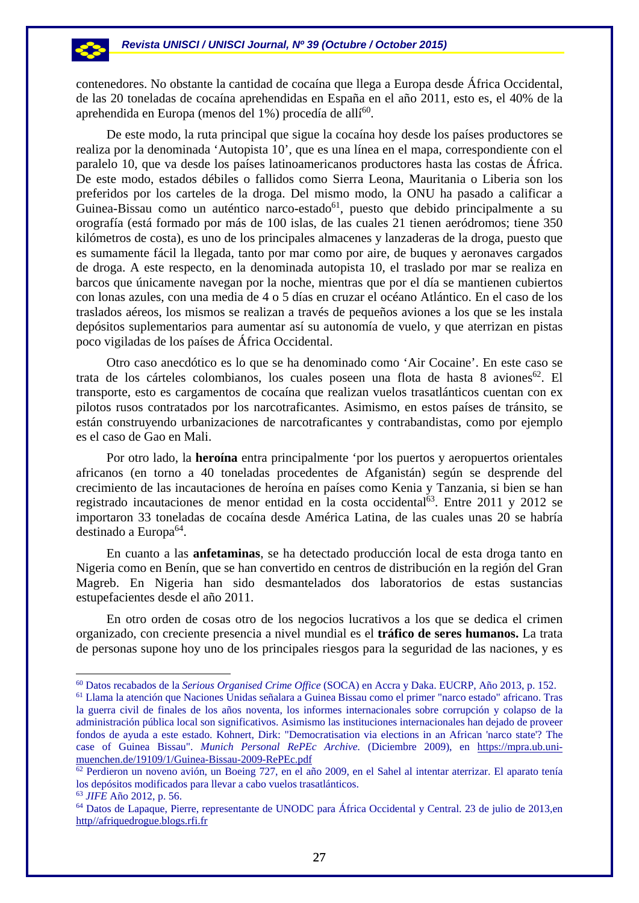contenedores. No obstante la cantidad de cocaína que llega a Europa desde África Occidental, de las 20 toneladas de cocaína aprehendidas en España en el año 2011, esto es, el 40% de la aprehendida en Europa (menos del 1%) procedía de allí<sup>60</sup>.

De este modo, la ruta principal que sigue la cocaína hoy desde los países productores se realiza por la denominada 'Autopista 10', que es una línea en el mapa, correspondiente con el paralelo 10, que va desde los países latinoamericanos productores hasta las costas de África. De este modo, estados débiles o fallidos como Sierra Leona, Mauritania o Liberia son los preferidos por los carteles de la droga. Del mismo modo, la ONU ha pasado a calificar a Guinea-Bissau como un auténtico narco-estado<sup>61</sup>, puesto que debido principalmente a su orografía (está formado por más de 100 islas, de las cuales 21 tienen aeródromos; tiene 350 kilómetros de costa), es uno de los principales almacenes y lanzaderas de la droga, puesto que es sumamente fácil la llegada, tanto por mar como por aire, de buques y aeronaves cargados de droga. A este respecto, en la denominada autopista 10, el traslado por mar se realiza en barcos que únicamente navegan por la noche, mientras que por el día se mantienen cubiertos con lonas azules, con una media de 4 o 5 días en cruzar el océano Atlántico. En el caso de los traslados aéreos, los mismos se realizan a través de pequeños aviones a los que se les instala depósitos suplementarios para aumentar así su autonomía de vuelo, y que aterrizan en pistas poco vigiladas de los países de África Occidental.

Otro caso anecdótico es lo que se ha denominado como 'Air Cocaine'. En este caso se trata de los cárteles colombianos, los cuales poseen una flota de hasta 8 aviones<sup>62</sup>. El transporte, esto es cargamentos de cocaína que realizan vuelos trasatlánticos cuentan con ex pilotos rusos contratados por los narcotraficantes. Asimismo, en estos países de tránsito, se están construyendo urbanizaciones de narcotraficantes y contrabandistas, como por ejemplo es el caso de Gao en Mali.

Por otro lado, la **heroína** entra principalmente 'por los puertos y aeropuertos orientales africanos (en torno a 40 toneladas procedentes de Afganistán) según se desprende del crecimiento de las incautaciones de heroína en países como Kenia y Tanzania, si bien se han registrado incautaciones de menor entidad en la costa occidental<sup>63</sup>. Entre 2011 y 2012 se importaron 33 toneladas de cocaína desde América Latina, de las cuales unas 20 se habría destinado a Europa<sup>64</sup>.

En cuanto a las **anfetaminas**, se ha detectado producción local de esta droga tanto en Nigeria como en Benín, que se han convertido en centros de distribución en la región del Gran Magreb. En Nigeria han sido desmantelados dos laboratorios de estas sustancias estupefacientes desde el año 2011.

En otro orden de cosas otro de los negocios lucrativos a los que se dedica el crimen organizado, con creciente presencia a nivel mundial es el **tráfico de seres humanos.** La trata de personas supone hoy uno de los principales riesgos para la seguridad de las naciones, y es

1

<sup>60</sup> Datos recabados de la *Serious Organised Crime Office* (SOCA) en Accra y Daka. EUCRP, Año 2013, p. 152. 61 Llama la atención que Naciones Unidas señalara a Guinea Bissau como el primer "narco estado" africano. Tras

la guerra civil de finales de los años noventa, los informes internacionales sobre corrupción y colapso de la administración pública local son significativos. Asimismo las instituciones internacionales han dejado de proveer fondos de ayuda a este estado. Kohnert, Dirk: "Democratisation via elections in an African 'narco state'? The case of Guinea Bissau". *Munich Personal RePEc Archive.* (Diciembre 2009), en https://mpra.ub.unimuenchen.de/19109/1/Guinea-Bissau-2009-RePEc.pdf

 $62$  Perdieron un noveno avión, un Boeing 727, en el año 2009, en el Sahel al intentar aterrizar. El aparato tenía los depósitos modificados para llevar a cabo vuelos trasatlánticos.

<sup>&</sup>lt;sup>63</sup> *JIFE* Año 2012, p. 56.<br><sup>64</sup> Datos de Lapaque, Pierre, representante de UNODC para África Occidental y Central. 23 de julio de 2013,en http//afriquedrogue.blogs.rfi.fr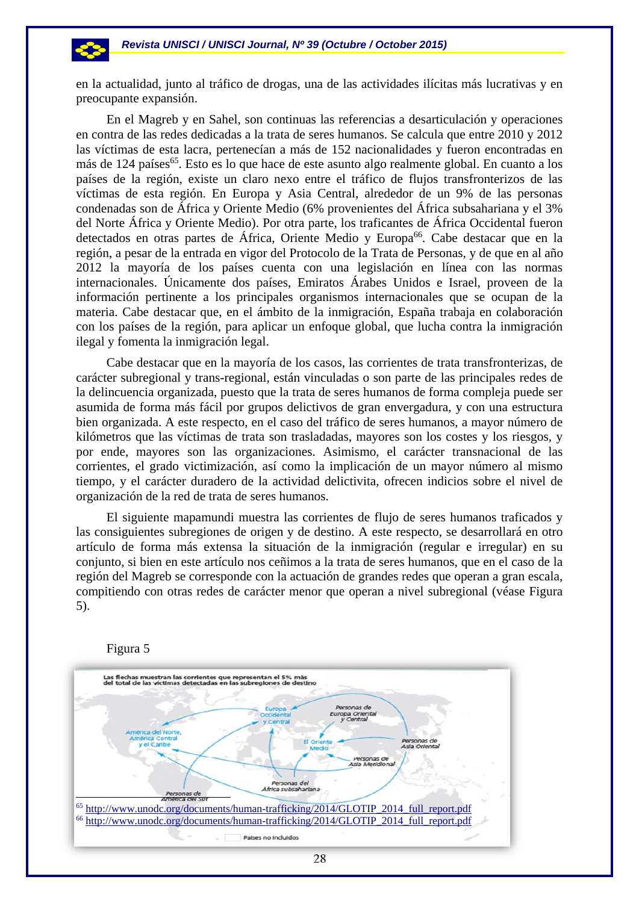en la actualidad, junto al tráfico de drogas, una de las actividades ilícitas más lucrativas y en preocupante expansión.

En el Magreb y en Sahel, son continuas las referencias a desarticulación y operaciones en contra de las redes dedicadas a la trata de seres humanos. Se calcula que entre 2010 y 2012 las víctimas de esta lacra, pertenecían a más de 152 nacionalidades y fueron encontradas en más de 124 países<sup>65</sup>. Esto es lo que hace de este asunto algo realmente global. En cuanto a los países de la región, existe un claro nexo entre el tráfico de flujos transfronterizos de las víctimas de esta región. En Europa y Asia Central, alrededor de un 9% de las personas condenadas son de África y Oriente Medio (6% provenientes del África subsahariana y el 3% del Norte África y Oriente Medio). Por otra parte, los traficantes de África Occidental fueron detectados en otras partes de África, Oriente Medio y Europa<sup>66</sup>. Cabe destacar que en la región, a pesar de la entrada en vigor del Protocolo de la Trata de Personas, y de que en al año 2012 la mayoría de los países cuenta con una legislación en línea con las normas internacionales. Únicamente dos países, Emiratos Árabes Unidos e Israel, proveen de la información pertinente a los principales organismos internacionales que se ocupan de la materia. Cabe destacar que, en el ámbito de la inmigración, España trabaja en colaboración con los países de la región, para aplicar un enfoque global, que lucha contra la inmigración ilegal y fomenta la inmigración legal.

Cabe destacar que en la mayoría de los casos, las corrientes de trata transfronterizas, de carácter subregional y trans-regional, están vinculadas o son parte de las principales redes de la delincuencia organizada, puesto que la trata de seres humanos de forma compleja puede ser asumida de forma más fácil por grupos delictivos de gran envergadura, y con una estructura bien organizada. A este respecto, en el caso del tráfico de seres humanos, a mayor número de kilómetros que las víctimas de trata son trasladadas, mayores son los costes y los riesgos, y por ende, mayores son las organizaciones. Asimismo, el carácter transnacional de las corrientes, el grado victimización, así como la implicación de un mayor número al mismo tiempo, y el carácter duradero de la actividad delictivita, ofrecen indicios sobre el nivel de organización de la red de trata de seres humanos.

El siguiente mapamundi muestra las corrientes de flujo de seres humanos traficados y las consiguientes subregiones de origen y de destino. A este respecto, se desarrollará en otro artículo de forma más extensa la situación de la inmigración (regular e irregular) en su conjunto, si bien en este artículo nos ceñimos a la trata de seres humanos, que en el caso de la región del Magreb se corresponde con la actuación de grandes redes que operan a gran escala, compitiendo con otras redes de carácter menor que operan a nivel subregional (véase Figura 5).



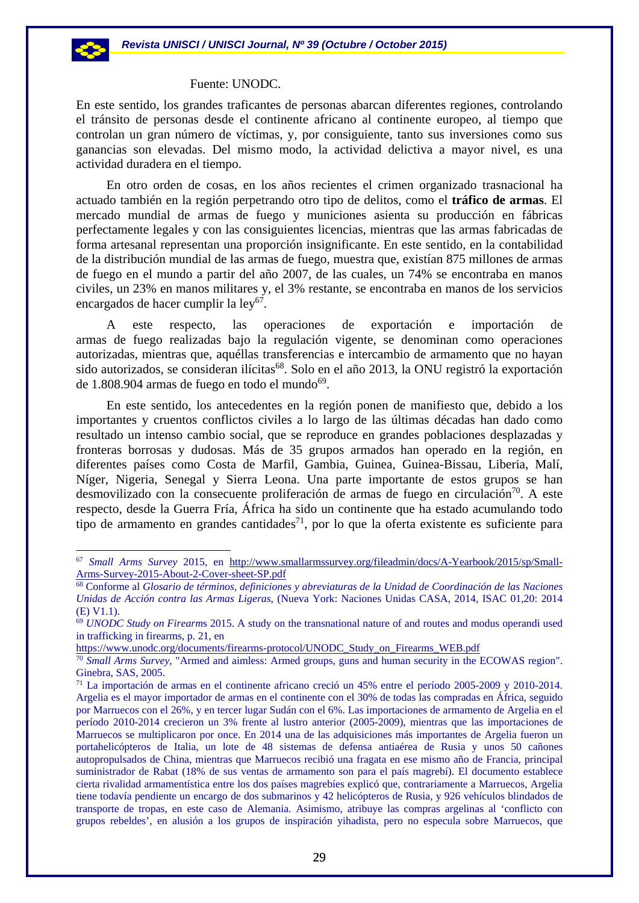### Fuente: UNODC.

En este sentido, los grandes traficantes de personas abarcan diferentes regiones, controlando el tránsito de personas desde el continente africano al continente europeo, al tiempo que controlan un gran número de víctimas, y, por consiguiente, tanto sus inversiones como sus ganancias son elevadas. Del mismo modo, la actividad delictiva a mayor nivel, es una actividad duradera en el tiempo.

En otro orden de cosas, en los años recientes el crimen organizado trasnacional ha actuado también en la región perpetrando otro tipo de delitos, como el **tráfico de armas**. El mercado mundial de armas de fuego y municiones asienta su producción en fábricas perfectamente legales y con las consiguientes licencias, mientras que las armas fabricadas de forma artesanal representan una proporción insignificante. En este sentido, en la contabilidad de la distribución mundial de las armas de fuego, muestra que, existían 875 millones de armas de fuego en el mundo a partir del año 2007, de las cuales, un 74% se encontraba en manos civiles, un 23% en manos militares y, el 3% restante, se encontraba en manos de los servicios encargados de hacer cumplir la  $ley<sup>67</sup>$ .

A este respecto, las operaciones de exportación e importación de armas de fuego realizadas bajo la regulación vigente, se denominan como operaciones autorizadas, mientras que, aquéllas transferencias e intercambio de armamento que no hayan sido autorizados, se consideran ilícitas<sup>68</sup>. Solo en el año 2013, la ONU registró la exportación de 1.808.904 armas de fuego en todo el mundo $^{69}$ .

En este sentido, los antecedentes en la región ponen de manifiesto que, debido a los importantes y cruentos conflictos civiles a lo largo de las últimas décadas han dado como resultado un intenso cambio social, que se reproduce en grandes poblaciones desplazadas y fronteras borrosas y dudosas. Más de 35 grupos armados han operado en la región, en diferentes países como Costa de Marfil, Gambia, Guinea, Guinea-Bissau, Liberia, Malí, Níger, Nigeria, Senegal y Sierra Leona. Una parte importante de estos grupos se han desmovilizado con la consecuente proliferación de armas de fuego en circulación<sup>70</sup>. A este respecto, desde la Guerra Fría, África ha sido un continente que ha estado acumulando todo tipo de armamento en grandes cantidades<sup>71</sup>, por lo que la oferta existente es suficiente para

https://www.unodc.org/documents/firearms-protocol/UNODC\_Study\_on\_Firearms\_WEB.pdf

<sup>67</sup> *Small Arms Survey* 2015, en http://www.smallarmssurvey.org/fileadmin/docs/A-Yearbook/2015/sp/Small-Arms-Survey-2015-About-2-Cover-sheet-SP.pdf

<sup>68</sup> Conforme al *Glosario de términos, definiciones y abreviaturas de la Unidad de Coordinación de las Naciones Unidas de Acción contra las Armas Ligeras*, (Nueva York: Naciones Unidas CASA, 2014, ISAC 01,20: 2014 (E) V1.1).

<sup>69</sup> *UNODC Study on Firearm*s 2015. A study on the transnational nature of and routes and modus operandi used in trafficking in firearms, p. 21, en

<sup>70</sup> *Small Arms Survey*, "Armed and aimless: Armed groups, guns and human security in the ECOWAS region". Ginebra, SAS, 2005.

<sup>71</sup> La importación de armas en el continente africano creció un 45% entre el período 2005-2009 y 2010-2014. Argelia es el mayor importador de armas en el continente con el 30% de todas las compradas en África, seguido por Marruecos con el 26%, y en tercer lugar Sudán con el 6%. Las importaciones de armamento de Argelia en el período 2010-2014 crecieron un 3% frente al lustro anterior (2005-2009), mientras que las importaciones de Marruecos se multiplicaron por once. En 2014 una de las adquisiciones más importantes de Argelia fueron un portahelicópteros de Italia, un lote de 48 sistemas de defensa antiaérea de Rusia y unos 50 cañones autopropulsados de China, mientras que Marruecos recibió una fragata en ese mismo año de Francia, principal suministrador de Rabat (18% de sus ventas de armamento son para el país magrebí). El documento establece cierta rivalidad armamentística entre los dos países magrebíes explicó que, contrariamente a Marruecos, Argelia tiene todavía pendiente un encargo de dos submarinos y 42 helicópteros de Rusia, y 926 vehículos blindados de transporte de tropas, en este caso de Alemania. Asimismo, atribuye las compras argelinas al 'conflicto con grupos rebeldes', en alusión a los grupos de inspiración yihadista, pero no especula sobre Marruecos, que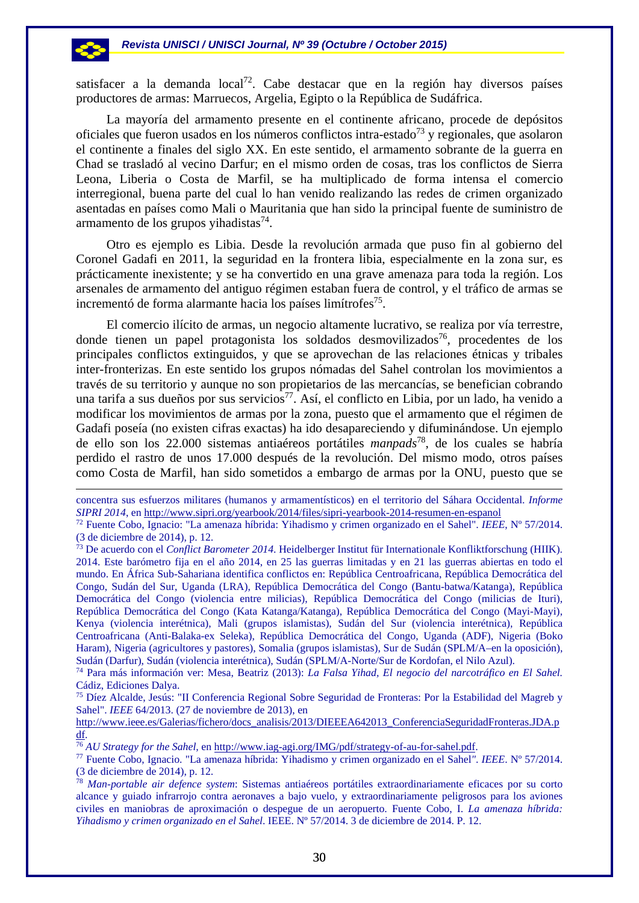satisfacer a la demanda  $local^{72}$ . Cabe destacar que en la región hay diversos países productores de armas: Marruecos, Argelia, Egipto o la República de Sudáfrica.

La mayoría del armamento presente en el continente africano, procede de depósitos oficiales que fueron usados en los números conflictos intra-estado<sup>73</sup> y regionales, que asolaron el continente a finales del siglo XX. En este sentido, el armamento sobrante de la guerra en Chad se trasladó al vecino Darfur; en el mismo orden de cosas, tras los conflictos de Sierra Leona, Liberia o Costa de Marfil, se ha multiplicado de forma intensa el comercio interregional, buena parte del cual lo han venido realizando las redes de crimen organizado asentadas en países como Mali o Mauritania que han sido la principal fuente de suministro de armamento de los grupos yihadistas $74$ .

Otro es ejemplo es Libia. Desde la revolución armada que puso fin al gobierno del Coronel Gadafi en 2011, la seguridad en la frontera libia, especialmente en la zona sur, es prácticamente inexistente; y se ha convertido en una grave amenaza para toda la región. Los arsenales de armamento del antiguo régimen estaban fuera de control, y el tráfico de armas se incrementó de forma alarmante hacia los países limítrofes<sup>75</sup>.

El comercio ilícito de armas, un negocio altamente lucrativo, se realiza por vía terrestre, donde tienen un papel protagonista los soldados desmovilizados<sup>76</sup>, procedentes de los principales conflictos extinguidos, y que se aprovechan de las relaciones étnicas y tribales inter-fronterizas. En este sentido los grupos nómadas del Sahel controlan los movimientos a través de su territorio y aunque no son propietarios de las mercancías, se benefician cobrando una tarifa a sus dueños por sus servicios<sup>77</sup>. Así, el conflicto en Libia, por un lado, ha venido a modificar los movimientos de armas por la zona, puesto que el armamento que el régimen de Gadafi poseía (no existen cifras exactas) ha ido desapareciendo y difuminándose. Un ejemplo de ello son los 22.000 sistemas antiaéreos portátiles *manpads*78, de los cuales se habría perdido el rastro de unos 17.000 después de la revolución. Del mismo modo, otros países como Costa de Marfil, han sido sometidos a embargo de armas por la ONU, puesto que se

concentra sus esfuerzos militares (humanos y armamentísticos) en el territorio del Sáhara Occidental. *Informe SIPRI 2014*, en http://www.sipri.org/yearbook/2014/files/sipri-yearbook-2014-resumen-en-espanol 72 Fuente Cobo, Ignacio: "La amenaza híbrida: Yihadismo y crimen organizado en el Sahel". *IEEE*, Nº 57/2014.

<sup>(3</sup> de diciembre de 2014), p. 12.

<sup>73</sup> De acuerdo con el *Conflict Barometer 2014*. Heidelberger Institut für Internationale Konfliktforschung (HIIK). 2014. Este barómetro fija en el año 2014, en 25 las guerras limitadas y en 21 las guerras abiertas en todo el mundo. En África Sub-Sahariana identifica conflictos en: República Centroafricana, República Democrática del Congo, Sudán del Sur, Uganda (LRA), República Democrática del Congo (Bantu-batwa/Katanga), República Democrática del Congo (violencia entre milicias), República Democrática del Congo (milicias de Ituri), República Democrática del Congo (Kata Katanga/Katanga), República Democrática del Congo (Mayi-Mayi), Kenya (violencia interétnica), Mali (grupos islamistas), Sudán del Sur (violencia interétnica), República Centroafricana (Anti-Balaka-ex Seleka), República Democrática del Congo, Uganda (ADF), Nigeria (Boko Haram), Nigeria (agricultores y pastores), Somalia (grupos islamistas), Sur de Sudán (SPLM/A–en la oposición),

Sudán (Darfur), Sudán (violencia interétnica), Sudán (SPLM/A-Norte/Sur de Kordofan, el Nilo Azul). 74 Para más información ver: Mesa, Beatriz (2013): *La Falsa Yihad, El negocio del narcotráfico en El Sahel.* Cádiz, Ediciones Dalya.

<sup>75</sup> Díez Alcalde, Jesús: "II Conferencia Regional Sobre Seguridad de Fronteras: Por la Estabilidad del Magreb y Sahel". *IEEE* 64/2013. (27 de noviembre de 2013), en

http://www.ieee.es/Galerias/fichero/docs\_analisis/2013/DIEEEA642013\_ConferenciaSeguridadFronteras.JDA.p df.

<sup>76</sup> *AU Strategy for the Sahel,* en http://www.iag-agi.org/IMG/pdf/strategy-of-au-for-sahel.pdf. 77 Fuente Cobo, Ignacio. "La amenaza híbrida: Yihadismo y crimen organizado en el Sahel*"*. *IEEE*. Nº 57/2014. (3 de diciembre de 2014), p. 12.

<sup>78</sup> *Man-portable air defence system*: Sistemas antiaéreos portátiles extraordinariamente eficaces por su corto alcance y guiado infrarrojo contra aeronaves a bajo vuelo, y extraordinariamente peligrosos para los aviones civiles en maniobras de aproximación o despegue de un aeropuerto. Fuente Cobo, I. *La amenaza híbrida: Yihadismo y crimen organizado en el Sahel*. IEEE. Nº 57/2014. 3 de diciembre de 2014. P. 12.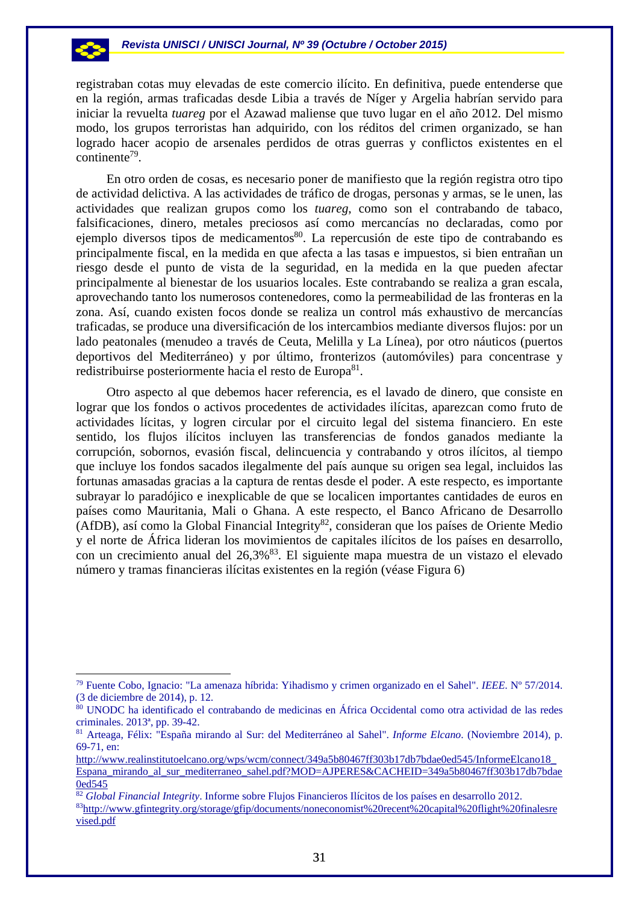registraban cotas muy elevadas de este comercio ilícito. En definitiva, puede entenderse que en la región, armas traficadas desde Libia a través de Níger y Argelia habrían servido para iniciar la revuelta *tuareg* por el Azawad maliense que tuvo lugar en el año 2012. Del mismo modo, los grupos terroristas han adquirido, con los réditos del crimen organizado, se han logrado hacer acopio de arsenales perdidos de otras guerras y conflictos existentes en el continente79.

En otro orden de cosas, es necesario poner de manifiesto que la región registra otro tipo de actividad delictiva. A las actividades de tráfico de drogas, personas y armas, se le unen, las actividades que realizan grupos como los *tuareg*, como son el contrabando de tabaco, falsificaciones, dinero, metales preciosos así como mercancías no declaradas, como por ejemplo diversos tipos de medicamentos $80$ . La repercusión de este tipo de contrabando es principalmente fiscal, en la medida en que afecta a las tasas e impuestos, si bien entrañan un riesgo desde el punto de vista de la seguridad, en la medida en la que pueden afectar principalmente al bienestar de los usuarios locales. Este contrabando se realiza a gran escala, aprovechando tanto los numerosos contenedores, como la permeabilidad de las fronteras en la zona. Así, cuando existen focos donde se realiza un control más exhaustivo de mercancías traficadas, se produce una diversificación de los intercambios mediante diversos flujos: por un lado peatonales (menudeo a través de Ceuta, Melilla y La Línea), por otro náuticos (puertos deportivos del Mediterráneo) y por último, fronterizos (automóviles) para concentrase y redistribuirse posteriormente hacia el resto de Europa<sup>81</sup>.

Otro aspecto al que debemos hacer referencia, es el lavado de dinero, que consiste en lograr que los fondos o activos procedentes de actividades ilícitas, aparezcan como fruto de actividades lícitas, y logren circular por el circuito legal del sistema financiero. En este sentido, los flujos ilícitos incluyen las transferencias de fondos ganados mediante la corrupción, sobornos, evasión fiscal, delincuencia y contrabando y otros ilícitos, al tiempo que incluye los fondos sacados ilegalmente del país aunque su origen sea legal, incluidos las fortunas amasadas gracias a la captura de rentas desde el poder. A este respecto, es importante subrayar lo paradójico e inexplicable de que se localicen importantes cantidades de euros en países como Mauritania, Mali o Ghana. A este respecto, el Banco Africano de Desarrollo (AfDB), así como la Global Financial Integrity<sup>82</sup>, consideran que los países de Oriente Medio y el norte de África lideran los movimientos de capitales ilícitos de los países en desarrollo, con un crecimiento anual del 26,3%<sup>83</sup>. El siguiente mapa muestra de un vistazo el elevado número y tramas financieras ilícitas existentes en la región (véase Figura 6)

1

<sup>79</sup> Fuente Cobo, Ignacio: "La amenaza híbrida: Yihadismo y crimen organizado en el Sahel". *IEEE*. Nº 57/2014. (3 de diciembre de 2014), p. 12.

<sup>80</sup> UNODC ha identificado el contrabando de medicinas en África Occidental como otra actividad de las redes criminales. 2013ª, pp. 39-42.

<sup>81</sup> Arteaga, Félix: "España mirando al Sur: del Mediterráneo al Sahel". *Informe Elcano*. (Noviembre 2014), p. 69-71, en:

http://www.realinstitutoelcano.org/wps/wcm/connect/349a5b80467ff303b17db7bdae0ed545/InformeElcano18\_ Espana\_mirando\_al\_sur\_mediterraneo\_sahel.pdf?MOD=AJPERES&CACHEID=349a5b80467ff303b17db7bdae 0ed545

<sup>&</sup>lt;sup>82</sup> *Global Financial Integrity*. Informe sobre Flujos Financieros Ilícitos de los países en desarrollo 2012.<br><sup>83</sup>http://www.gfintegrity.org/storage/gfip/documents/noneconomist%20recent%20capital%20flight%20finalesre vised.pdf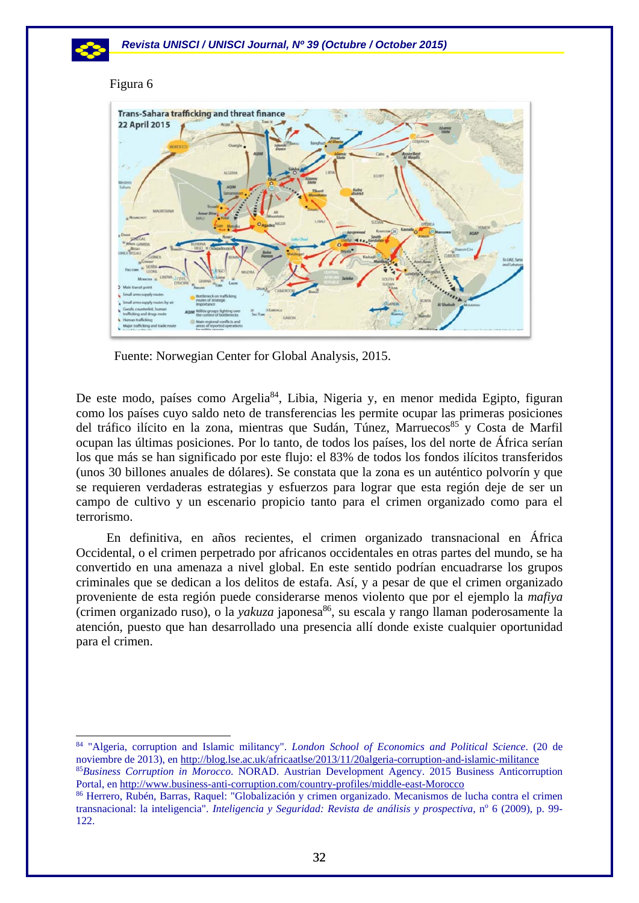### Figura 6

-



Fuente: Norwegian Center for Global Analysis, 2015.

De este modo, países como Argelia<sup>84</sup>, Libia, Nigeria y, en menor medida Egipto, figuran como los países cuyo saldo neto de transferencias les permite ocupar las primeras posiciones del tráfico ilícito en la zona, mientras que Sudán, Túnez, Marruecos<sup>85</sup> y Costa de Marfil ocupan las últimas posiciones. Por lo tanto, de todos los países, los del norte de África serían los que más se han significado por este flujo: el 83% de todos los fondos ilícitos transferidos (unos 30 billones anuales de dólares). Se constata que la zona es un auténtico polvorín y que se requieren verdaderas estrategias y esfuerzos para lograr que esta región deje de ser un campo de cultivo y un escenario propicio tanto para el crimen organizado como para el terrorismo.

En definitiva, en años recientes, el crimen organizado transnacional en África Occidental, o el crimen perpetrado por africanos occidentales en otras partes del mundo, se ha convertido en una amenaza a nivel global. En este sentido podrían encuadrarse los grupos criminales que se dedican a los delitos de estafa. Así, y a pesar de que el crimen organizado proveniente de esta región puede considerarse menos violento que por el ejemplo la *mafiya* (crimen organizado ruso), o la *yakuza* japonesa<sup>86</sup>, su escala y rango llaman poderosamente la atención, puesto que han desarrollado una presencia allí donde existe cualquier oportunidad para el crimen.

84 "Algeria, corruption and Islamic militancy". *London School of Economics and Political Science*. (20 de noviembre de 2013), en http://blog.lse.ac.uk/africaatlse/2013/11/20algeria-corruption-and-islamic-militance 85*Business Corruption in Morocco*. NORAD. Austrian Development Agency. 2015 Business Anticorruption

Portal, en http://www.business-anti-corruption.com/country-profiles/middle-east-Morocco

<sup>86</sup> Herrero, Rubén, Barras, Raquel: "Globalización y crimen organizado. Mecanismos de lucha contra el crimen transnacional: la inteligencia". *Inteligencia y Seguridad: Revista de análisis y prospectiva*, nº 6 (2009), p. 99-122.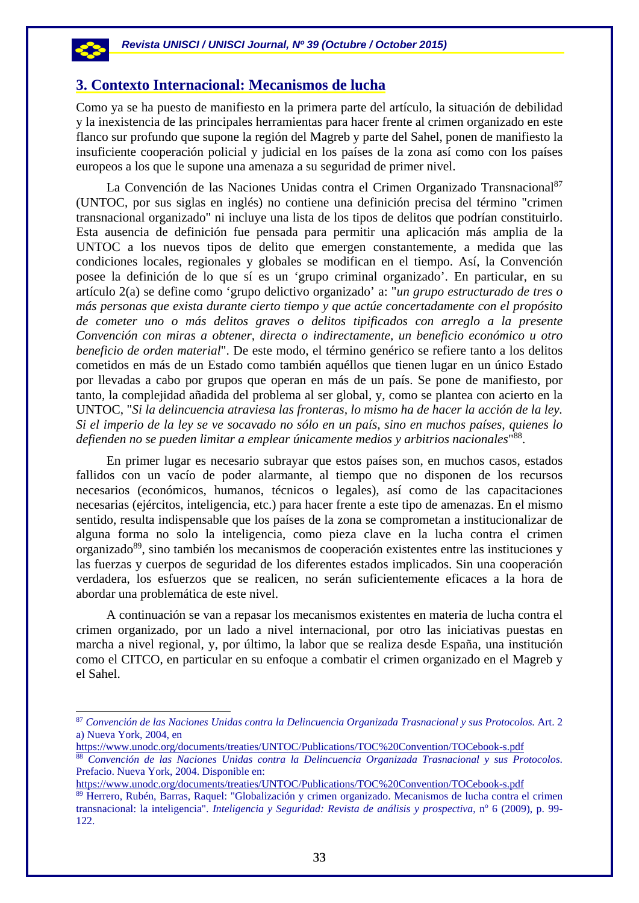# **3. Contexto Internacional: Mecanismos de lucha**

Como ya se ha puesto de manifiesto en la primera parte del artículo, la situación de debilidad y la inexistencia de las principales herramientas para hacer frente al crimen organizado en este flanco sur profundo que supone la región del Magreb y parte del Sahel, ponen de manifiesto la insuficiente cooperación policial y judicial en los países de la zona así como con los países europeos a los que le supone una amenaza a su seguridad de primer nivel.

La Convención de las Naciones Unidas contra el Crimen Organizado Transnacional<sup>87</sup> (UNTOC, por sus siglas en inglés) no contiene una definición precisa del término "crimen transnacional organizado" ni incluye una lista de los tipos de delitos que podrían constituirlo. Esta ausencia de definición fue pensada para permitir una aplicación más amplia de la UNTOC a los nuevos tipos de delito que emergen constantemente, a medida que las condiciones locales, regionales y globales se modifican en el tiempo. Así, la Convención posee la definición de lo que sí es un 'grupo criminal organizado'. En particular, en su artículo 2(a) se define como 'grupo delictivo organizado' a: "*un grupo estructurado de tres o más personas que exista durante cierto tiempo y que actúe concertadamente con el propósito de cometer uno o más delitos graves o delitos tipificados con arreglo a la presente Convención con miras a obtener, directa o indirectamente, un beneficio económico u otro beneficio de orden material*". De este modo, el término genérico se refiere tanto a los delitos cometidos en más de un Estado como también aquéllos que tienen lugar en un único Estado por llevadas a cabo por grupos que operan en más de un país. Se pone de manifiesto, por tanto, la complejidad añadida del problema al ser global, y, como se plantea con acierto en la UNTOC, "*Si la delincuencia atraviesa las fronteras, lo mismo ha de hacer la acción de la ley. Si el imperio de la ley se ve socavado no sólo en un país, sino en muchos países, quienes lo defienden no se pueden limitar a emplear únicamente medios y arbitrios nacionales*"88.

En primer lugar es necesario subrayar que estos países son, en muchos casos, estados fallidos con un vacío de poder alarmante, al tiempo que no disponen de los recursos necesarios (económicos, humanos, técnicos o legales), así como de las capacitaciones necesarias (ejércitos, inteligencia, etc.) para hacer frente a este tipo de amenazas. En el mismo sentido, resulta indispensable que los países de la zona se comprometan a institucionalizar de alguna forma no solo la inteligencia, como pieza clave en la lucha contra el crimen organizado89, sino también los mecanismos de cooperación existentes entre las instituciones y las fuerzas y cuerpos de seguridad de los diferentes estados implicados. Sin una cooperación verdadera, los esfuerzos que se realicen, no serán suficientemente eficaces a la hora de abordar una problemática de este nivel.

A continuación se van a repasar los mecanismos existentes en materia de lucha contra el crimen organizado, por un lado a nivel internacional, por otro las iniciativas puestas en marcha a nivel regional, y, por último, la labor que se realiza desde España, una institución como el CITCO, en particular en su enfoque a combatir el crimen organizado en el Magreb y el Sahel.

1

<sup>87</sup> *Convención de las Naciones Unidas contra la Delincuencia Organizada Trasnacional y sus Protocolos*. Art. 2 a) Nueva York, 2004, en

https://www.unodc.org/documents/treaties/UNTOC/Publications/TOC%20Convention/TOCebook-s.pdf 88 *Convención de las Naciones Unidas contra la Delincuencia Organizada Trasnacional y sus Protocolos*.

Prefacio. Nueva York, 2004. Disponible en:

https://www.unodc.org/documents/treaties/UNTOC/Publications/TOC%20Convention/TOCebook-s.pdf

Herrero, Rubén, Barras, Raquel: "Globalización y crimen organizado. Mecanismos de lucha contra el crimen transnacional: la inteligencia". *Inteligencia y Seguridad: Revista de análisis y prospectiva*, nº 6 (2009), p. 99-122.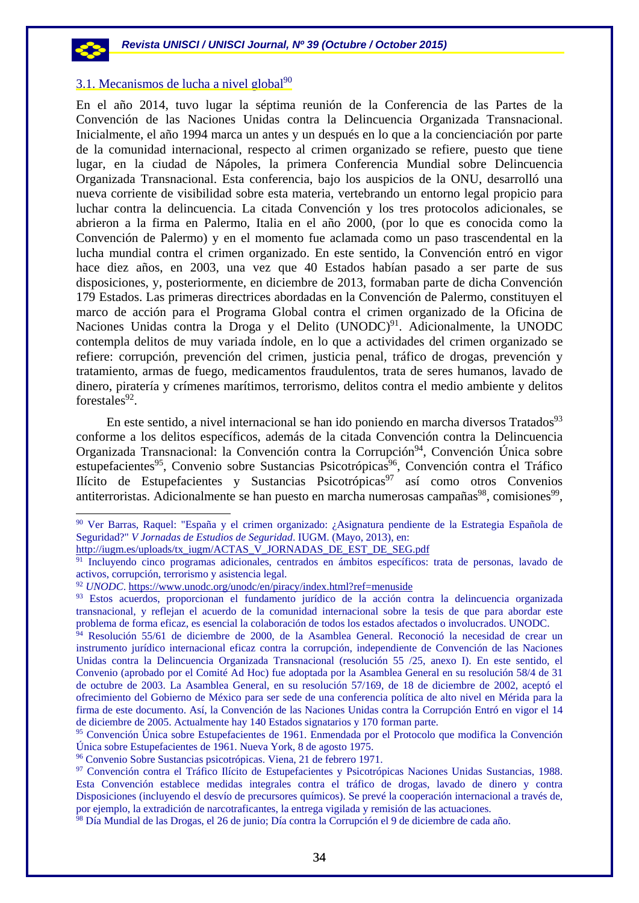

-

### 3.1. Mecanismos de lucha a nivel global $90$

En el año 2014, tuvo lugar la séptima reunión de la Conferencia de las Partes de la Convención de las Naciones Unidas contra la Delincuencia Organizada Transnacional. Inicialmente, el año 1994 marca un antes y un después en lo que a la concienciación por parte de la comunidad internacional, respecto al crimen organizado se refiere, puesto que tiene lugar, en la ciudad de Nápoles, la primera Conferencia Mundial sobre Delincuencia Organizada Transnacional. Esta conferencia, bajo los auspicios de la ONU, desarrolló una nueva corriente de visibilidad sobre esta materia, vertebrando un entorno legal propicio para luchar contra la delincuencia. La citada Convención y los tres protocolos adicionales, se abrieron a la firma en Palermo, Italia en el año 2000, (por lo que es conocida como la Convención de Palermo) y en el momento fue aclamada como un paso trascendental en la lucha mundial contra el crimen organizado. En este sentido, la Convención entró en vigor hace diez años, en 2003, una vez que 40 Estados habían pasado a ser parte de sus disposiciones, y, posteriormente, en diciembre de 2013, formaban parte de dicha Convención 179 Estados. Las primeras directrices abordadas en la Convención de Palermo, constituyen el marco de acción para el Programa Global contra el crimen organizado de la Oficina de Naciones Unidas contra la Droga y el Delito (UNODC)<sup>91</sup>. Adicionalmente, la UNODC contempla delitos de muy variada índole, en lo que a actividades del crimen organizado se refiere: corrupción, prevención del crimen, justicia penal, tráfico de drogas, prevención y tratamiento, armas de fuego, medicamentos fraudulentos, trata de seres humanos, lavado de dinero, piratería y crímenes marítimos, terrorismo, delitos contra el medio ambiente y delitos forestales $92$ .

En este sentido, a nivel internacional se han ido poniendo en marcha diversos Tratados<sup>93</sup> conforme a los delitos específicos, además de la citada Convención contra la Delincuencia Organizada Transnacional: la Convención contra la Corrupción<sup>94</sup>, Convención Única sobre estupefacientes<sup>95</sup>, Convenio sobre Sustancias Psicotrópicas<sup>96</sup>, Convención contra el Tráfico Ilícito de Estupefacientes y Sustancias Psicotrópicas<sup>97</sup> así como otros Convenios antiterroristas. Adicionalmente se han puesto en marcha numerosas campañas<sup>98</sup>, comisiones<sup>99</sup>,

http://iugm.es/uploads/tx\_iugm/ACTAS\_V\_JORNADAS\_DE\_EST\_DE\_SEG.pdf

<sup>90</sup> Ver Barras, Raquel: "España y el crimen organizado: ¿Asignatura pendiente de la Estrategia Española de Seguridad?" *V Jornadas de Estudios de Seguridad*. IUGM. (Mayo, 2013), en:

<sup>&</sup>lt;sup>91</sup> Incluyendo cinco programas adicionales, centrados en ámbitos específicos: trata de personas, lavado de activos, corrupción, terrorismo y asistencia legal.

<sup>92</sup> *UNODC*. https://www.unodc.org/unodc/en/piracy/index.html?ref=menuside

<sup>&</sup>lt;sup>93</sup> Estos acuerdos, proporcionan el fundamento jurídico de la acción contra la delincuencia organizada transnacional, y reflejan el acuerdo de la comunidad internacional sobre la tesis de que para abordar este problema de forma eficaz, es esencial la colaboración de todos los estados afectados o involucrados. UNODC.

<sup>94</sup> Resolución 55/61 de diciembre de 2000, de la Asamblea General. Reconoció la necesidad de crear un instrumento jurídico internacional eficaz contra la corrupción, independiente de Convención de las Naciones Unidas contra la Delincuencia Organizada Transnacional (resolución 55 /25, anexo I). En este sentido, el Convenio (aprobado por el Comité Ad Hoc) fue adoptada por la Asamblea General en su resolución 58/4 de 31 de octubre de 2003. La Asamblea General, en su resolución 57/169, de 18 de diciembre de 2002, aceptó el ofrecimiento del Gobierno de México para ser sede de una conferencia política de alto nivel en Mérida para la firma de este documento. Así, la Convención de las Naciones Unidas contra la Corrupción Entró en vigor el 14 de diciembre de 2005. Actualmente hay 140 Estados signatarios y 170 forman parte.

<sup>95</sup> Convención Única sobre Estupefacientes de 1961. Enmendada por el Protocolo que modifica la Convención Única sobre Estupefacientes de 1961. Nueva York, 8 de agosto 1975.

<sup>96</sup> Convenio Sobre Sustancias psicotrópicas. Viena, 21 de febrero 1971. 97 Convención contra el Tráfico Ilícito de Estupefacientes y Psicotrópicas Naciones Unidas Sustancias, 1988. Esta Convención establece medidas integrales contra el tráfico de drogas, lavado de dinero y contra Disposiciones (incluyendo el desvío de precursores químicos). Se prevé la cooperación internacional a través de, por ejemplo, la extradición de narcotraficantes, la entrega vigilada y remisión de las actuaciones.

<sup>&</sup>lt;sup>98</sup> Día Mundial de las Drogas, el 26 de junio; Día contra la Corrupción el 9 de diciembre de cada año.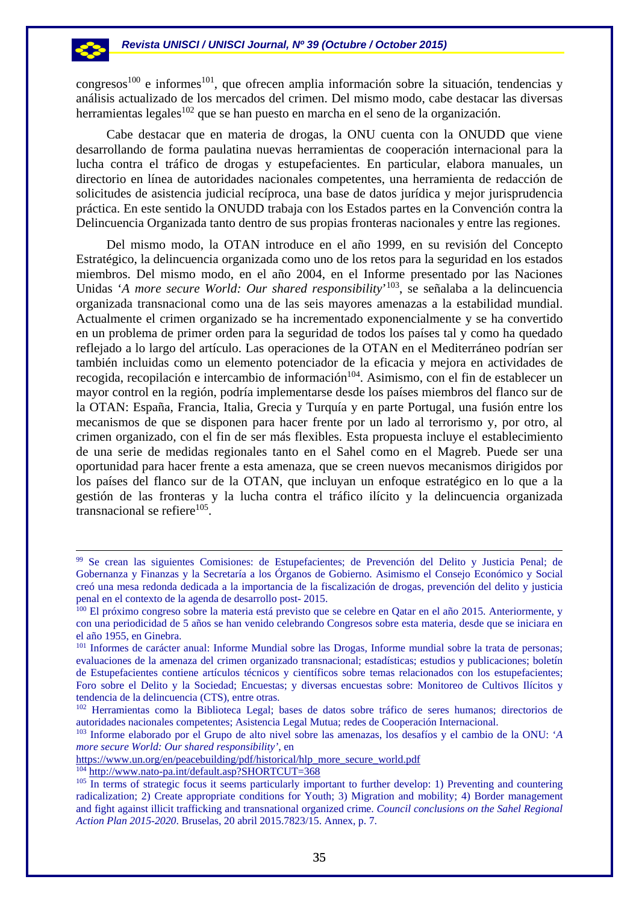$cong$ resos<sup>100</sup> e informes<sup>101</sup>, que ofrecen amplia información sobre la situación, tendencias y análisis actualizado de los mercados del crimen. Del mismo modo, cabe destacar las diversas herramientas legales<sup>102</sup> que se han puesto en marcha en el seno de la organización.

Cabe destacar que en materia de drogas, la ONU cuenta con la ONUDD que viene desarrollando de forma paulatina nuevas herramientas de cooperación internacional para la lucha contra el tráfico de drogas y estupefacientes. En particular, elabora manuales, un directorio en línea de autoridades nacionales competentes, una herramienta de redacción de solicitudes de asistencia judicial recíproca, una base de datos jurídica y mejor jurisprudencia práctica. En este sentido la ONUDD trabaja con los Estados partes en la Convención contra la Delincuencia Organizada tanto dentro de sus propias fronteras nacionales y entre las regiones.

Del mismo modo, la OTAN introduce en el año 1999, en su revisión del Concepto Estratégico, la delincuencia organizada como uno de los retos para la seguridad en los estados miembros. Del mismo modo, en el año 2004, en el Informe presentado por las Naciones Unidas '*A more secure World: Our shared responsibility*' 103, se señalaba a la delincuencia organizada transnacional como una de las seis mayores amenazas a la estabilidad mundial. Actualmente el crimen organizado se ha incrementado exponencialmente y se ha convertido en un problema de primer orden para la seguridad de todos los países tal y como ha quedado reflejado a lo largo del artículo. Las operaciones de la OTAN en el Mediterráneo podrían ser también incluidas como un elemento potenciador de la eficacia y mejora en actividades de recogida, recopilación e intercambio de información<sup>104</sup>. Asimismo, con el fin de establecer un mayor control en la región, podría implementarse desde los países miembros del flanco sur de la OTAN: España, Francia, Italia, Grecia y Turquía y en parte Portugal, una fusión entre los mecanismos de que se disponen para hacer frente por un lado al terrorismo y, por otro, al crimen organizado, con el fin de ser más flexibles. Esta propuesta incluye el establecimiento de una serie de medidas regionales tanto en el Sahel como en el Magreb. Puede ser una oportunidad para hacer frente a esta amenaza, que se creen nuevos mecanismos dirigidos por los países del flanco sur de la OTAN, que incluyan un enfoque estratégico en lo que a la gestión de las fronteras y la lucha contra el tráfico ilícito y la delincuencia organizada transnacional se refiere $105$ .

 <sup>99</sup> Se crean las siguientes Comisiones: de Estupefacientes; de Prevención del Delito y Justicia Penal; de Gobernanza y Finanzas y la Secretaría a los Órganos de Gobierno. Asimismo el Consejo Económico y Social creó una mesa redonda dedicada a la importancia de la fiscalización de drogas, prevención del delito y justicia penal en el contexto de la agenda de desarrollo post- 2015.

<sup>&</sup>lt;sup>100</sup> El próximo congreso sobre la materia está previsto que se celebre en Qatar en el año 2015. Anteriormente, y con una periodicidad de 5 años se han venido celebrando Congresos sobre esta materia, desde que se iniciara en el año 1955, en Ginebra.

<sup>&</sup>lt;sup>101</sup> Informes de carácter anual: Informe Mundial sobre las Drogas, Informe mundial sobre la trata de personas; evaluaciones de la amenaza del crimen organizado transnacional; estadísticas; estudios y publicaciones; boletín de Estupefacientes contiene artículos técnicos y científicos sobre temas relacionados con los estupefacientes; Foro sobre el Delito y la Sociedad; Encuestas; y diversas encuestas sobre: Monitoreo de Cultivos Ilícitos y tendencia de la delincuencia (CTS), entre otras.

<sup>102</sup> Herramientas como la Biblioteca Legal; bases de datos sobre tráfico de seres humanos; directorios de autoridades nacionales competentes; Asistencia Legal Mutua; redes de Cooperación Internacional.

<sup>103</sup> Informe elaborado por el Grupo de alto nivel sobre las amenazas, los desafíos y el cambio de la ONU: '*A more secure World: Our shared responsibility'*, en

https://www.un.org/en/peacebuilding/pdf/historical/hlp\_more\_secure\_world.pdf<br>  $\frac{104 \text{ http://www.nato-pa.int/default asp?SHORTCUT=368}}{105 \text{ In terms of strategic focus it seems particularly important to further develop: 1) Preventing and countering}}$ radicalization; 2) Create appropriate conditions for Youth; 3) Migration and mobility; 4) Border management and fight against illicit trafficking and transnational organized crime. *Council conclusions on the Sahel Regional Action Plan 2015-2020*. Bruselas, 20 abril 2015.7823/15. Annex, p. 7.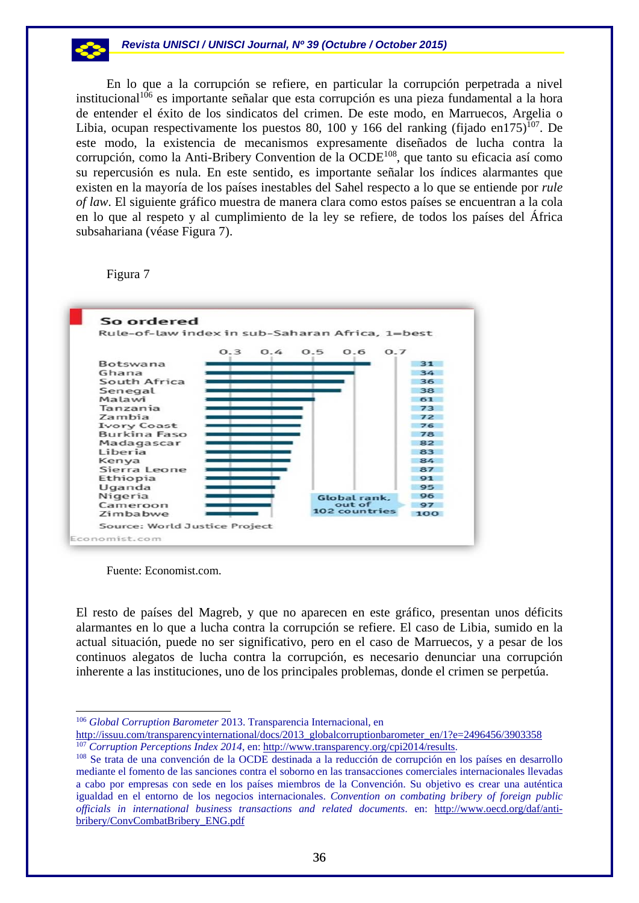En lo que a la corrupción se refiere, en particular la corrupción perpetrada a nivel institucional<sup>106</sup> es importante señalar que esta corrupción es una pieza fundamental a la hora de entender el éxito de los sindicatos del crimen. De este modo, en Marruecos, Argelia o Libia, ocupan respectivamente los puestos 80, 100 y 166 del ranking (fijado en175)<sup>107</sup>. De este modo, la existencia de mecanismos expresamente diseñados de lucha contra la corrupción, como la Anti-Bribery Convention de la OCDE<sup>108</sup>, que tanto su eficacia así como su repercusión es nula. En este sentido, es importante señalar los índices alarmantes que existen en la mayoría de los países inestables del Sahel respecto a lo que se entiende por *rule of law*. El siguiente gráfico muestra de manera clara como estos países se encuentran a la cola en lo que al respeto y al cumplimiento de la ley se refiere, de todos los países del África subsahariana (véase Figura 7).

#### Figura 7

53



Fuente: Economist.com.

1

El resto de países del Magreb, y que no aparecen en este gráfico, presentan unos déficits alarmantes en lo que a lucha contra la corrupción se refiere. El caso de Libia, sumido en la actual situación, puede no ser significativo, pero en el caso de Marruecos, y a pesar de los continuos alegatos de lucha contra la corrupción, es necesario denunciar una corrupción inherente a las instituciones, uno de los principales problemas, donde el crimen se perpetúa.

<sup>106</sup> *Global Corruption Barometer* 2013. Transparencia Internacional, en

http://issuu.com/transparencyinternational/docs/2013\_globalcorruptionbarometer\_en/1?e=2496456/3903358

<sup>&</sup>lt;sup>107</sup> *Corruption Perceptions Index 2014*, en: http://www.transparency.org/cpi2014/results.<br><sup>108</sup> Se trata de una convención de la OCDE destinada a la reducción de corrupción en los países en desarrollo mediante el fomento de las sanciones contra el soborno en las transacciones comerciales internacionales llevadas a cabo por empresas con sede en los países miembros de la Convención. Su objetivo es crear una auténtica igualdad en el entorno de los negocios internacionales. *Convention on combating bribery of foreign public officials in international business transactions and related documents*. en: http://www.oecd.org/daf/antibribery/ConvCombatBribery\_ENG.pdf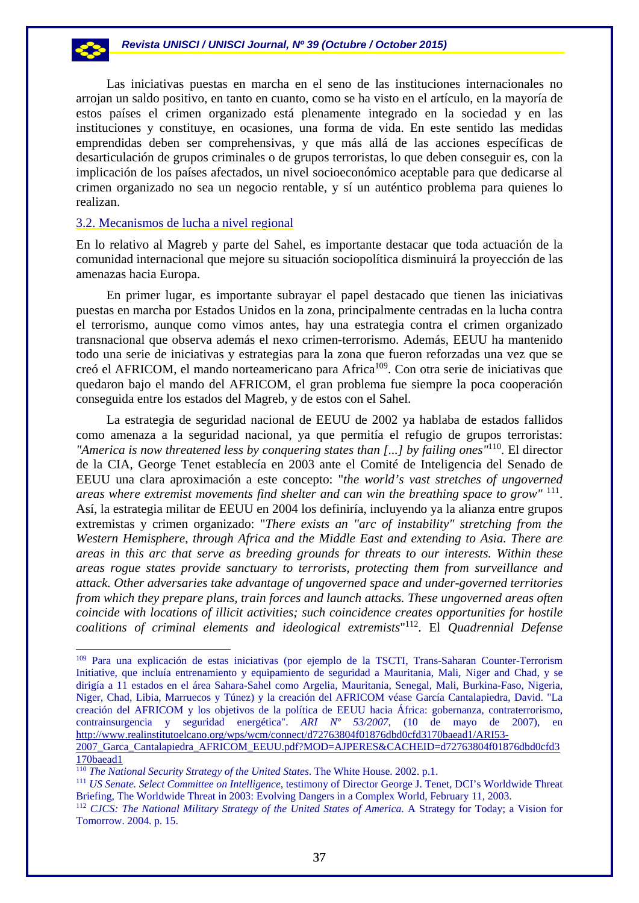Las iniciativas puestas en marcha en el seno de las instituciones internacionales no arrojan un saldo positivo, en tanto en cuanto, como se ha visto en el artículo, en la mayoría de estos países el crimen organizado está plenamente integrado en la sociedad y en las instituciones y constituye, en ocasiones, una forma de vida. En este sentido las medidas emprendidas deben ser comprehensivas, y que más allá de las acciones específicas de desarticulación de grupos criminales o de grupos terroristas, lo que deben conseguir es, con la implicación de los países afectados, un nivel socioeconómico aceptable para que dedicarse al crimen organizado no sea un negocio rentable, y sí un auténtico problema para quienes lo realizan.

### 3.2. Mecanismos de lucha a nivel regional

En lo relativo al Magreb y parte del Sahel, es importante destacar que toda actuación de la comunidad internacional que mejore su situación sociopolítica disminuirá la proyección de las amenazas hacia Europa.

En primer lugar, es importante subrayar el papel destacado que tienen las iniciativas puestas en marcha por Estados Unidos en la zona, principalmente centradas en la lucha contra el terrorismo, aunque como vimos antes, hay una estrategia contra el crimen organizado transnacional que observa además el nexo crimen-terrorismo. Además, EEUU ha mantenido todo una serie de iniciativas y estrategias para la zona que fueron reforzadas una vez que se creó el AFRICOM, el mando norteamericano para Africa109. Con otra serie de iniciativas que quedaron bajo el mando del AFRICOM, el gran problema fue siempre la poca cooperación conseguida entre los estados del Magreb, y de estos con el Sahel.

La estrategia de seguridad nacional de EEUU de 2002 ya hablaba de estados fallidos como amenaza a la seguridad nacional, ya que permitía el refugio de grupos terroristas: *"America is now threatened less by conquering states than [...] by failing ones"*110. El director de la CIA, George Tenet establecía en 2003 ante el Comité de Inteligencia del Senado de EEUU una clara aproximación a este concepto: "*the world's vast stretches of ungoverned areas where extremist movements find shelter and can win the breathing space to grow"* 111. Así, la estrategia militar de EEUU en 2004 los definiría, incluyendo ya la alianza entre grupos extremistas y crimen organizado: "*There exists an "arc of instability" stretching from the Western Hemisphere, through Africa and the Middle East and extending to Asia. There are areas in this arc that serve as breeding grounds for threats to our interests. Within these areas rogue states provide sanctuary to terrorists, protecting them from surveillance and attack. Other adversaries take advantage of ungoverned space and under-governed territories from which they prepare plans, train forces and launch attacks. These ungoverned areas often coincide with locations of illicit activities; such coincidence creates opportunities for hostile coalitions of criminal elements and ideological extremists*"112. El *Quadrennial Defense* 

<sup>109</sup> Para una explicación de estas iniciativas (por ejemplo de la TSCTI, Trans-Saharan Counter-Terrorism Initiative, que incluía entrenamiento y equipamiento de seguridad a Mauritania, Mali, Niger and Chad, y se dirigía a 11 estados en el área Sahara-Sahel como Argelia, Mauritania, Senegal, Mali, Burkina-Faso, Nigeria, Niger, Chad, Libia, Marruecos y Túnez) y la creación del AFRICOM véase García Cantalapiedra, David. "La creación del AFRICOM y los objetivos de la política de EEUU hacia África: gobernanza, contraterrorismo, contrainsurgencia y seguridad energética". *ARI Nº 53/2007*, (10 de mayo de 2007), en http://www.realinstitutoelcano.org/wps/wcm/connect/d72763804f01876dbd0cfd3170baead1/ARI53- 2007 Garca Cantalapiedra AFRICOM\_EEUU.pdf?MOD=AJPERES&CACHEID=d72763804f01876dbd0cfd3

<sup>170</sup>baead1<br><sup>110</sup> The National Security Strategy of the United States. The White House. 2002. p.1.

<sup>&</sup>lt;sup>111</sup> *US Senate. Select Committee on Intelligence*, testimony of Director George J. Tenet, DCI's Worldwide Threat Briefing, The Worldwide Threat in 2003: Evolving Dangers in a Complex World, February 11, 2003.

<sup>112</sup> *CJCS: The National Military Strategy of the United States of America*. A Strategy for Today; a Vision for Tomorrow. 2004. p. 15.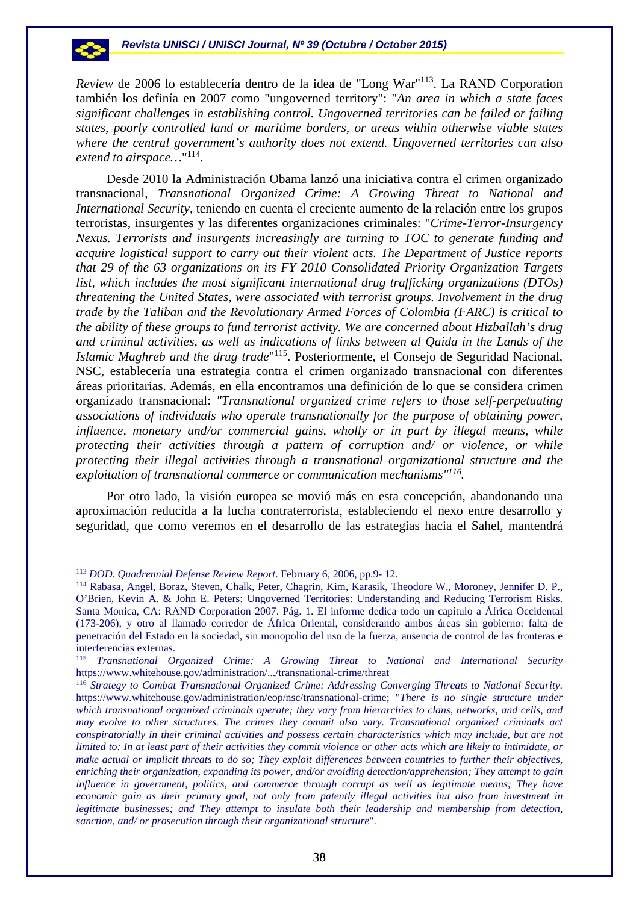*Review* de 2006 lo establecería dentro de la idea de "Long War"113. La RAND Corporation también los definía en 2007 como "ungoverned territory": "*An area in which a state faces significant challenges in establishing control. Ungoverned territories can be failed or failing states, poorly controlled land or maritime borders, or areas within otherwise viable states where the central government's authority does not extend. Ungoverned territories can also extend to airspace…*"114.

Desde 2010 la Administración Obama lanzó una iniciativa contra el crimen organizado transnacional, *Transnational Organized Crime: A Growing Threat to National and International Security*, teniendo en cuenta el creciente aumento de la relación entre los grupos terroristas, insurgentes y las diferentes organizaciones criminales: "*Crime-Terror-Insurgency Nexus. Terrorists and insurgents increasingly are turning to TOC to generate funding and acquire logistical support to carry out their violent acts. The Department of Justice reports that 29 of the 63 organizations on its FY 2010 Consolidated Priority Organization Targets list, which includes the most significant international drug trafficking organizations (DTOs) threatening the United States, were associated with terrorist groups. Involvement in the drug trade by the Taliban and the Revolutionary Armed Forces of Colombia (FARC) is critical to the ability of these groups to fund terrorist activity. We are concerned about Hizballah's drug and criminal activities, as well as indications of links between al Qaida in the Lands of the Islamic Maghreb and the drug trade*"115. Posteriormente, el Consejo de Seguridad Nacional, NSC, establecería una estrategia contra el crimen organizado transnacional con diferentes áreas prioritarias. Además, en ella encontramos una definición de lo que se considera crimen organizado transnacional: *"Transnational organized crime refers to those self-perpetuating associations of individuals who operate transnationally for the purpose of obtaining power, influence, monetary and/or commercial gains, wholly or in part by illegal means, while protecting their activities through a pattern of corruption and/ or violence, or while protecting their illegal activities through a transnational organizational structure and the exploitation of transnational commerce or communication mechanisms"116.* 

Por otro lado, la visión europea se movió más en esta concepción, abandonando una aproximación reducida a la lucha contraterrorista, estableciendo el nexo entre desarrollo y seguridad, que como veremos en el desarrollo de las estrategias hacia el Sahel, mantendrá

<sup>&</sup>lt;sup>113</sup> *DOD. Quadrennial Defense Review Report*. February 6, 2006, pp.9- 12.<br><sup>114</sup> Rabasa, Angel, Boraz, Steven, Chalk, Peter, Chagrin, Kim, Karasik, Theodore W., Moroney, Jennifer D. P., O'Brien, Kevin A. & John E. Peters: Ungoverned Territories: Understanding and Reducing Terrorism Risks. Santa Monica, CA: RAND Corporation 2007. Pág. 1. El informe dedica todo un capítulo a África Occidental (173-206), y otro al llamado corredor de África Oriental, considerando ambos áreas sin gobierno: falta de penetración del Estado en la sociedad, sin monopolio del uso de la fuerza, ausencia de control de las fronteras e interferencias externas.

<sup>115</sup> *Transnational Organized Crime: A Growing Threat to National and International Security* https://www.whitehouse.gov/administration/.../transnational-crime/threat 116 *Strategy to Combat Transnational Organized Crime: Addressing Converging Threats to National Security*.

https://www.whitehouse.gov/administration/eop/nsc/transnational-crime; "*There is no single structure under which transnational organized criminals operate; they vary from hierarchies to clans, networks, and cells, and may evolve to other structures. The crimes they commit also vary. Transnational organized criminals act conspiratorially in their criminal activities and possess certain characteristics which may include, but are not limited to: In at least part of their activities they commit violence or other acts which are likely to intimidate, or make actual or implicit threats to do so; They exploit differences between countries to further their objectives, enriching their organization, expanding its power, and/or avoiding detection/apprehension; They attempt to gain influence in government, politics, and commerce through corrupt as well as legitimate means; They have economic gain as their primary goal, not only from patently illegal activities but also from investment in legitimate businesses; and They attempt to insulate both their leadership and membership from detection, sanction, and/ or prosecution through their organizational structure*".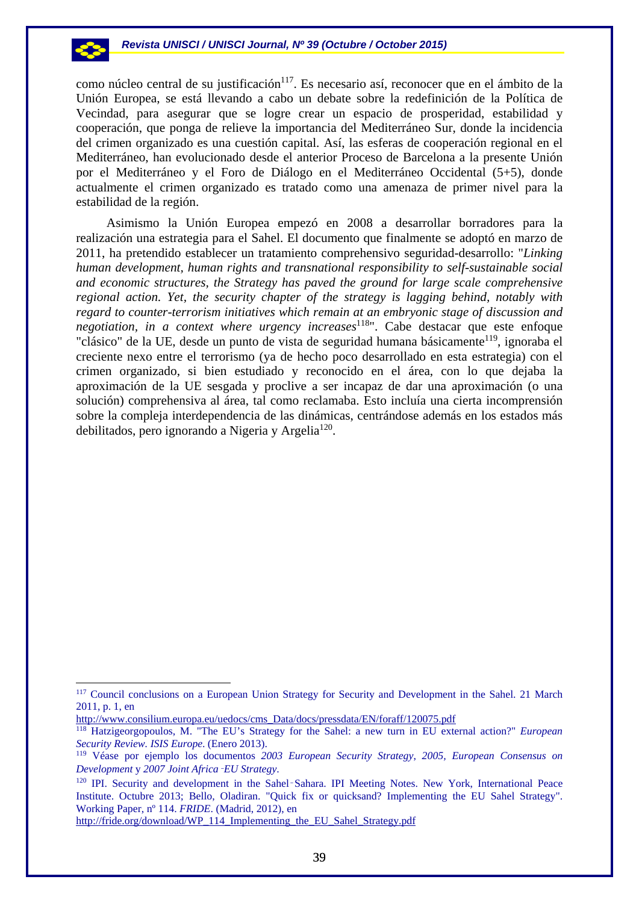

-

como núcleo central de su justificación<sup>117</sup>. Es necesario así, reconocer que en el ámbito de la Unión Europea, se está llevando a cabo un debate sobre la redefinición de la Política de Vecindad, para asegurar que se logre crear un espacio de prosperidad, estabilidad y cooperación, que ponga de relieve la importancia del Mediterráneo Sur, donde la incidencia del crimen organizado es una cuestión capital. Así, las esferas de cooperación regional en el Mediterráneo, han evolucionado desde el anterior Proceso de Barcelona a la presente Unión por el Mediterráneo y el Foro de Diálogo en el Mediterráneo Occidental (5+5), donde actualmente el crimen organizado es tratado como una amenaza de primer nivel para la estabilidad de la región.

Asimismo la Unión Europea empezó en 2008 a desarrollar borradores para la realización una estrategia para el Sahel. El documento que finalmente se adoptó en marzo de 2011, ha pretendido establecer un tratamiento comprehensivo seguridad-desarrollo: "*Linking human development, human rights and transnational responsibility to self-sustainable social and economic structures, the Strategy has paved the ground for large scale comprehensive regional action. Yet, the security chapter of the strategy is lagging behind, notably with regard to counter-terrorism initiatives which remain at an embryonic stage of discussion and negotiation, in a context where urgency increases*<sup>118</sup>". Cabe destacar que este enfoque "clásico" de la UE, desde un punto de vista de seguridad humana básicamente<sup>119</sup>, ignoraba el creciente nexo entre el terrorismo (ya de hecho poco desarrollado en esta estrategia) con el crimen organizado, si bien estudiado y reconocido en el área, con lo que dejaba la aproximación de la UE sesgada y proclive a ser incapaz de dar una aproximación (o una solución) comprehensiva al área, tal como reclamaba. Esto incluía una cierta incomprensión sobre la compleja interdependencia de las dinámicas, centrándose además en los estados más debilitados, pero ignorando a Nigeria y Argelia<sup>120</sup>.

http://fride.org/download/WP\_114\_Implementing\_the\_EU\_Sahel\_Strategy.pdf

<sup>&</sup>lt;sup>117</sup> Council conclusions on a European Union Strategy for Security and Development in the Sahel. 21 March 2011, p. 1, en

http://www.consilium.europa.eu/uedocs/cms\_Data/docs/pressdata/EN/foraff/120075.pdf 118 Hatzigeorgopoulos, M. "The EU's Strategy for the Sahel: a new turn in EU external action?" *European Security Review. ISIS Europe*. (Enero 2013).

<sup>119</sup> Véase por ejemplo los documentos *2003 European Security Strategy*, *2005, European Consensus on Development* y *2007 Joint Africa <sup>-</sup>EU Strategy*.<br><sup>120</sup> IPI. Security and development in the Sahel–Sahara. IPI Meeting Notes. New York, International Peace

Institute. Octubre 2013; Bello, Oladiran. "Quick fix or quicksand? Implementing the EU Sahel Strategy". Working Paper, nº 114. *FRIDE*. (Madrid, 2012), en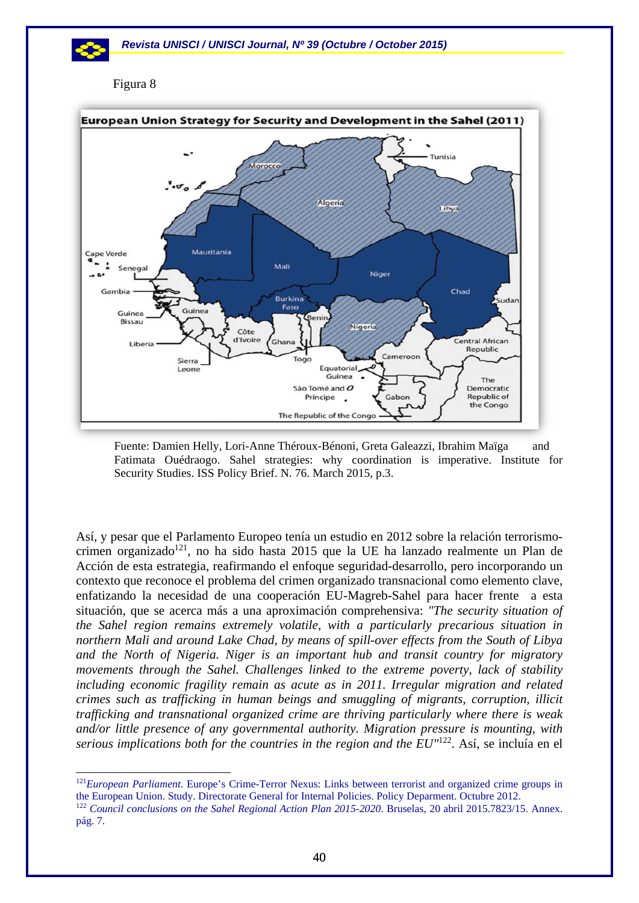### Figura 8

-



Fuente: Damien Helly, Lori-Anne Théroux-Bénoni, Greta Galeazzi, Ibrahim Maïga and Fatimata Ouédraogo. Sahel strategies: why coordination is imperative. Institute for Security Studies. ISS Policy Brief. N. 76. March 2015, p.3.

Así, y pesar que el Parlamento Europeo tenía un estudio en 2012 sobre la relación terrorismocrimen organizado<sup>121</sup>, no ha sido hasta 2015 que la UE ha lanzado realmente un Plan de Acción de esta estrategia, reafirmando el enfoque seguridad-desarrollo, pero incorporando un contexto que reconoce el problema del crimen organizado transnacional como elemento clave, enfatizando la necesidad de una cooperación EU-Magreb-Sahel para hacer frente a esta situación, que se acerca más a una aproximación comprehensiva: *"The security situation of the Sahel region remains extremely volatile, with a particularly precarious situation in northern Mali and around Lake Chad, by means of spill-over effects from the South of Libya and the North of Nigeria. Niger is an important hub and transit country for migratory movements through the Sahel. Challenges linked to the extreme poverty, lack of stability including economic fragility remain as acute as in 2011. Irregular migration and related crimes such as trafficking in human beings and smuggling of migrants, corruption, illicit trafficking and transnational organized crime are thriving particularly where there is weak and/or little presence of any governmental authority. Migration pressure is mounting, with serious implications both for the countries in the region and the EU"*122. Así, se incluía en el

<sup>121</sup>*European Parliament*. Europe's Crime-Terror Nexus: Links between terrorist and organized crime groups in the European Union. Study. Directorate General for Internal Policies. Policy Deparment. Octubre 2012.<br><sup>122</sup> *Council conclusions on the Sahel Regional Action Plan 2015-2020*. Bruselas, 20 abril 2015.7823/15. Annex.

pág. 7.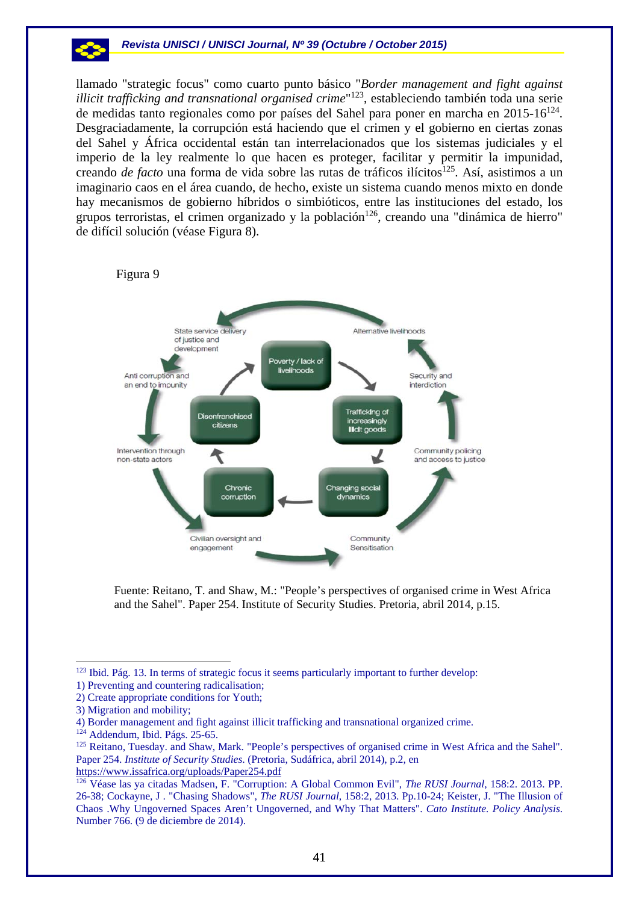llamado "strategic focus" como cuarto punto básico "*Border management and fight against illicit trafficking and transnational organised crime*"123, estableciendo también toda una serie de medidas tanto regionales como por países del Sahel para poner en marcha en 2015-16124. Desgraciadamente, la corrupción está haciendo que el crimen y el gobierno en ciertas zonas del Sahel y África occidental están tan interrelacionados que los sistemas judiciales y el imperio de la ley realmente lo que hacen es proteger, facilitar y permitir la impunidad, creando *de facto* una forma de vida sobre las rutas de tráficos ilícitos<sup>125</sup>. Así, asistimos a un imaginario caos en el área cuando, de hecho, existe un sistema cuando menos mixto en donde hay mecanismos de gobierno híbridos o simbióticos, entre las instituciones del estado, los grupos terroristas, el crimen organizado y la población<sup>126</sup>, creando una "dinámica de hierro" de difícil solución (véase Figura 8).



Fuente: Reitano, T. and Shaw, M.: "People's perspectives of organised crime in West Africa and the Sahel". Paper 254. Institute of Security Studies. Pretoria, abril 2014, p.15.

<sup>&</sup>lt;sup>123</sup> Ibid. Pág. 13. In terms of strategic focus it seems particularly important to further develop:

<sup>1)</sup> Preventing and countering radicalisation;

<sup>2)</sup> Create appropriate conditions for Youth;

<sup>3)</sup> Migration and mobility;

<sup>4)</sup> Border management and fight against illicit trafficking and transnational organized crime.

<sup>&</sup>lt;sup>125</sup> Reitano, Tuesday. and Shaw, Mark. "People's perspectives of organised crime in West Africa and the Sahel". Paper 254. *Institute of Security Studies*. (Pretoria, Sudáfrica, abril 2014), p.2, en

https://www.issafrica.org/uploads/Paper254.pdf 126 Véase las ya citadas Madsen, F. "Corruption: A Global Common Evil", *The RUSI Journal*, 158:2. 2013. PP. 26-38; Cockayne, J . "Chasing Shadows", *The RUSI Journal*, 158:2, 2013. Pp.10-24; Keister, J. "The Illusion of Chaos .Why Ungoverned Spaces Aren't Ungoverned, and Why That Matters". *Cato Institute. Policy Analysis*. Number 766. (9 de diciembre de 2014).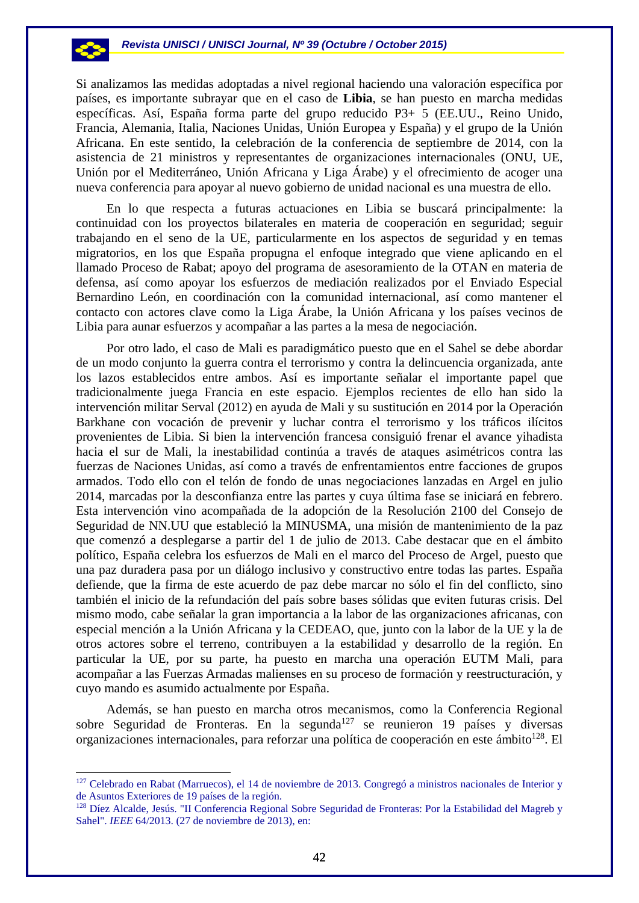Si analizamos las medidas adoptadas a nivel regional haciendo una valoración específica por países, es importante subrayar que en el caso de **Libia**, se han puesto en marcha medidas específicas. Así, España forma parte del grupo reducido P3+ 5 (EE.UU., Reino Unido, Francia, Alemania, Italia, Naciones Unidas, Unión Europea y España) y el grupo de la Unión Africana. En este sentido, la celebración de la conferencia de septiembre de 2014, con la asistencia de 21 ministros y representantes de organizaciones internacionales (ONU, UE, Unión por el Mediterráneo, Unión Africana y Liga Árabe) y el ofrecimiento de acoger una nueva conferencia para apoyar al nuevo gobierno de unidad nacional es una muestra de ello.

En lo que respecta a futuras actuaciones en Libia se buscará principalmente: la continuidad con los proyectos bilaterales en materia de cooperación en seguridad; seguir trabajando en el seno de la UE, particularmente en los aspectos de seguridad y en temas migratorios, en los que España propugna el enfoque integrado que viene aplicando en el llamado Proceso de Rabat; apoyo del programa de asesoramiento de la OTAN en materia de defensa, así como apoyar los esfuerzos de mediación realizados por el Enviado Especial Bernardino León, en coordinación con la comunidad internacional, así como mantener el contacto con actores clave como la Liga Árabe, la Unión Africana y los países vecinos de Libia para aunar esfuerzos y acompañar a las partes a la mesa de negociación.

Por otro lado, el caso de Mali es paradigmático puesto que en el Sahel se debe abordar de un modo conjunto la guerra contra el terrorismo y contra la delincuencia organizada, ante los lazos establecidos entre ambos. Así es importante señalar el importante papel que tradicionalmente juega Francia en este espacio. Ejemplos recientes de ello han sido la intervención militar Serval (2012) en ayuda de Mali y su sustitución en 2014 por la Operación Barkhane con vocación de prevenir y luchar contra el terrorismo y los tráficos ilícitos provenientes de Libia. Si bien la intervención francesa consiguió frenar el avance yihadista hacia el sur de Mali, la inestabilidad continúa a través de ataques asimétricos contra las fuerzas de Naciones Unidas, así como a través de enfrentamientos entre facciones de grupos armados. Todo ello con el telón de fondo de unas negociaciones lanzadas en Argel en julio 2014, marcadas por la desconfianza entre las partes y cuya última fase se iniciará en febrero. Esta intervención vino acompañada de la adopción de la Resolución 2100 del Consejo de Seguridad de NN.UU que estableció la MINUSMA, una misión de mantenimiento de la paz que comenzó a desplegarse a partir del 1 de julio de 2013. Cabe destacar que en el ámbito político, España celebra los esfuerzos de Mali en el marco del Proceso de Argel, puesto que una paz duradera pasa por un diálogo inclusivo y constructivo entre todas las partes. España defiende, que la firma de este acuerdo de paz debe marcar no sólo el fin del conflicto, sino también el inicio de la refundación del país sobre bases sólidas que eviten futuras crisis. Del mismo modo, cabe señalar la gran importancia a la labor de las organizaciones africanas, con especial mención a la Unión Africana y la CEDEAO, que, junto con la labor de la UE y la de otros actores sobre el terreno, contribuyen a la estabilidad y desarrollo de la región. En particular la UE, por su parte, ha puesto en marcha una operación EUTM Mali, para acompañar a las Fuerzas Armadas malienses en su proceso de formación y reestructuración, y cuyo mando es asumido actualmente por España.

Además, se han puesto en marcha otros mecanismos, como la Conferencia Regional sobre Seguridad de Fronteras. En la segunda<sup>127</sup> se reunieron 19 países y diversas organizaciones internacionales, para reforzar una política de cooperación en este ámbito<sup>128</sup>. El

<sup>&</sup>lt;sup>127</sup> Celebrado en Rabat (Marruecos), el 14 de noviembre de 2013. Congregó a ministros nacionales de Interior y de Asuntos Exteriores de 19 países de la región.

<sup>&</sup>lt;sup>128</sup> Díez Alcalde, Jesús. "II Conferencia Regional Sobre Seguridad de Fronteras: Por la Estabilidad del Magreb y Sahel". *IEEE* 64/2013. (27 de noviembre de 2013), en: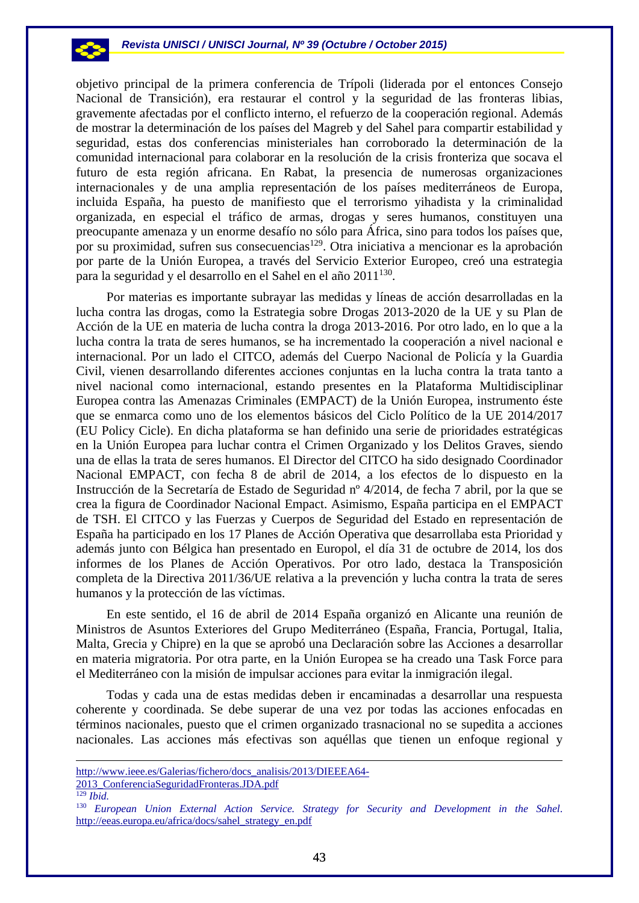

objetivo principal de la primera conferencia de Trípoli (liderada por el entonces Consejo Nacional de Transición), era restaurar el control y la seguridad de las fronteras libias, gravemente afectadas por el conflicto interno, el refuerzo de la cooperación regional. Además de mostrar la determinación de los países del Magreb y del Sahel para compartir estabilidad y seguridad, estas dos conferencias ministeriales han corroborado la determinación de la comunidad internacional para colaborar en la resolución de la crisis fronteriza que socava el futuro de esta región africana. En Rabat, la presencia de numerosas organizaciones internacionales y de una amplia representación de los países mediterráneos de Europa, incluida España, ha puesto de manifiesto que el terrorismo yihadista y la criminalidad organizada, en especial el tráfico de armas, drogas y seres humanos, constituyen una preocupante amenaza y un enorme desafío no sólo para África, sino para todos los países que, por su proximidad, sufren sus consecuencias<sup>129</sup>. Otra iniciativa a mencionar es la aprobación por parte de la Unión Europea, a través del Servicio Exterior Europeo, creó una estrategia para la seguridad y el desarrollo en el Sahel en el año 2011<sup>130</sup>.

Por materias es importante subrayar las medidas y líneas de acción desarrolladas en la lucha contra las drogas, como la Estrategia sobre Drogas 2013-2020 de la UE y su Plan de Acción de la UE en materia de lucha contra la droga 2013-2016. Por otro lado, en lo que a la lucha contra la trata de seres humanos, se ha incrementado la cooperación a nivel nacional e internacional. Por un lado el CITCO, además del Cuerpo Nacional de Policía y la Guardia Civil, vienen desarrollando diferentes acciones conjuntas en la lucha contra la trata tanto a nivel nacional como internacional, estando presentes en la Plataforma Multidisciplinar Europea contra las Amenazas Criminales (EMPACT) de la Unión Europea, instrumento éste que se enmarca como uno de los elementos básicos del Ciclo Político de la UE 2014/2017 (EU Policy Cicle). En dicha plataforma se han definido una serie de prioridades estratégicas en la Unión Europea para luchar contra el Crimen Organizado y los Delitos Graves, siendo una de ellas la trata de seres humanos. El Director del CITCO ha sido designado Coordinador Nacional EMPACT, con fecha 8 de abril de 2014, a los efectos de lo dispuesto en la Instrucción de la Secretaría de Estado de Seguridad nº 4/2014, de fecha 7 abril, por la que se crea la figura de Coordinador Nacional Empact. Asimismo, España participa en el EMPACT de TSH. El CITCO y las Fuerzas y Cuerpos de Seguridad del Estado en representación de España ha participado en los 17 Planes de Acción Operativa que desarrollaba esta Prioridad y además junto con Bélgica han presentado en Europol, el día 31 de octubre de 2014, los dos informes de los Planes de Acción Operativos. Por otro lado, destaca la Transposición completa de la Directiva 2011/36/UE relativa a la prevención y lucha contra la trata de seres humanos y la protección de las víctimas.

En este sentido, el 16 de abril de 2014 España organizó en Alicante una reunión de Ministros de Asuntos Exteriores del Grupo Mediterráneo (España, Francia, Portugal, Italia, Malta, Grecia y Chipre) en la que se aprobó una Declaración sobre las Acciones a desarrollar en materia migratoria. Por otra parte, en la Unión Europea se ha creado una Task Force para el Mediterráneo con la misión de impulsar acciones para evitar la inmigración ilegal.

Todas y cada una de estas medidas deben ir encaminadas a desarrollar una respuesta coherente y coordinada. Se debe superar de una vez por todas las acciones enfocadas en términos nacionales, puesto que el crimen organizado trasnacional no se supedita a acciones nacionales. Las acciones más efectivas son aquéllas que tienen un enfoque regional y

http://www.ieee.es/Galerias/fichero/docs\_analisis/2013/DIEEEA64-

<sup>2013</sup>\_ConferenciaSeguridadFronteras.JDA.pdf

<sup>129</sup> *Ibid.*

<sup>130</sup> *European Union External Action Service. Strategy for Security and Development in the Sahel*. http://eeas.europa.eu/africa/docs/sahel\_strategy\_en.pdf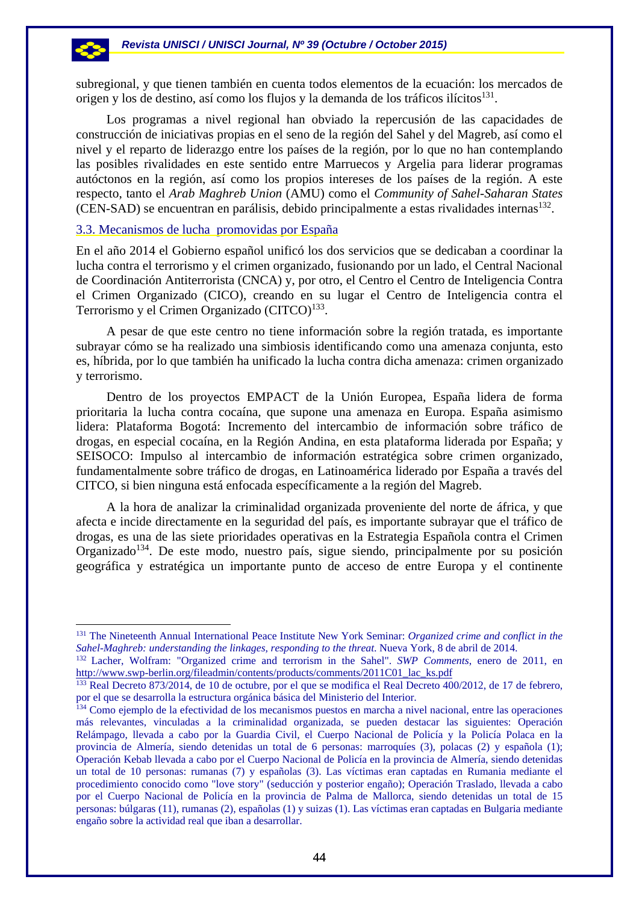subregional, y que tienen también en cuenta todos elementos de la ecuación: los mercados de origen y los de destino, así como los flujos y la demanda de los tráficos ilícitos<sup>131</sup>.

Los programas a nivel regional han obviado la repercusión de las capacidades de construcción de iniciativas propias en el seno de la región del Sahel y del Magreb, así como el nivel y el reparto de liderazgo entre los países de la región, por lo que no han contemplando las posibles rivalidades en este sentido entre Marruecos y Argelia para liderar programas autóctonos en la región, así como los propios intereses de los países de la región. A este respecto, tanto el *Arab Maghreb Union* (AMU) como el *Community of Sahel-Saharan States* (CEN-SAD) se encuentran en parálisis, debido principalmente a estas rivalidades internas<sup>132</sup>.

## 3.3. Mecanismos de lucha promovidas por España

-

En el año 2014 el Gobierno español unificó los dos servicios que se dedicaban a coordinar la lucha contra el terrorismo y el crimen organizado, fusionando por un lado, el Central Nacional de Coordinación Antiterrorista (CNCA) y, por otro, el Centro el Centro de Inteligencia Contra el Crimen Organizado (CICO), creando en su lugar el Centro de Inteligencia contra el Terrorismo y el Crimen Organizado (CITCO)<sup>133</sup>.

A pesar de que este centro no tiene información sobre la región tratada, es importante subrayar cómo se ha realizado una simbiosis identificando como una amenaza conjunta, esto es, híbrida, por lo que también ha unificado la lucha contra dicha amenaza: crimen organizado y terrorismo.

Dentro de los proyectos EMPACT de la Unión Europea, España lidera de forma prioritaria la lucha contra cocaína, que supone una amenaza en Europa. España asimismo lidera: Plataforma Bogotá: Incremento del intercambio de información sobre tráfico de drogas, en especial cocaína, en la Región Andina, en esta plataforma liderada por España; y SEISOCO: Impulso al intercambio de información estratégica sobre crimen organizado, fundamentalmente sobre tráfico de drogas, en Latinoamérica liderado por España a través del CITCO, si bien ninguna está enfocada específicamente a la región del Magreb.

A la hora de analizar la criminalidad organizada proveniente del norte de áfrica, y que afecta e incide directamente en la seguridad del país, es importante subrayar que el tráfico de drogas, es una de las siete prioridades operativas en la Estrategia Española contra el Crimen Organizado<sup>134</sup>. De este modo, nuestro país, sigue siendo, principalmente por su posición geográfica y estratégica un importante punto de acceso de entre Europa y el continente

<sup>131</sup> The Nineteenth Annual International Peace Institute New York Seminar: *Organized crime and conflict in the Sahel-Maghreb: understanding the linkages, responding to the threat*. Nueva York, 8 de abril de 2014. 132 Lacher, Wolfram: "Organized crime and terrorism in the Sahel". *SWP Comments*, enero de 2011, en

http://www.swp-berlin.org/fileadmin/contents/products/comments/2011C01\_lac\_ks.pdf 133 Real Decreto 873/2014, de 10 de octubre, por el que se modifica el Real Decreto 400/2012, de 17 de febrero,

por el que se desarrolla la estructura orgánica básica del Ministerio del Interior.

<sup>&</sup>lt;sup>134</sup> Como ejemplo de la efectividad de los mecanismos puestos en marcha a nivel nacional, entre las operaciones más relevantes, vinculadas a la criminalidad organizada, se pueden destacar las siguientes: Operación Relámpago, llevada a cabo por la Guardia Civil, el Cuerpo Nacional de Policía y la Policía Polaca en la provincia de Almería, siendo detenidas un total de 6 personas: marroquíes (3), polacas (2) y española (1); Operación Kebab llevada a cabo por el Cuerpo Nacional de Policía en la provincia de Almería, siendo detenidas un total de 10 personas: rumanas (7) y españolas (3). Las víctimas eran captadas en Rumania mediante el procedimiento conocido como "love story" (seducción y posterior engaño); Operación Traslado, llevada a cabo por el Cuerpo Nacional de Policía en la provincia de Palma de Mallorca, siendo detenidas un total de 15 personas: búlgaras (11), rumanas (2), españolas (1) y suizas (1). Las víctimas eran captadas en Bulgaria mediante engaño sobre la actividad real que iban a desarrollar.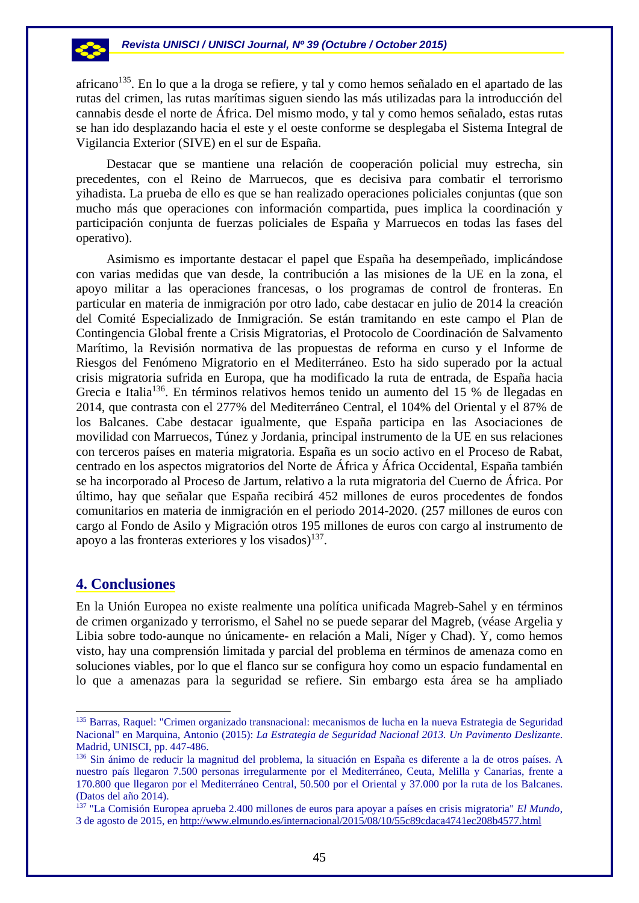africano<sup>135</sup>. En lo que a la droga se refiere, y tal y como hemos señalado en el apartado de las rutas del crimen, las rutas marítimas siguen siendo las más utilizadas para la introducción del cannabis desde el norte de África. Del mismo modo, y tal y como hemos señalado, estas rutas se han ido desplazando hacia el este y el oeste conforme se desplegaba el Sistema Integral de Vigilancia Exterior (SIVE) en el sur de España.

Destacar que se mantiene una relación de cooperación policial muy estrecha, sin precedentes, con el Reino de Marruecos, que es decisiva para combatir el terrorismo yihadista. La prueba de ello es que se han realizado operaciones policiales conjuntas (que son mucho más que operaciones con información compartida, pues implica la coordinación y participación conjunta de fuerzas policiales de España y Marruecos en todas las fases del operativo).

Asimismo es importante destacar el papel que España ha desempeñado, implicándose con varias medidas que van desde, la contribución a las misiones de la UE en la zona, el apoyo militar a las operaciones francesas, o los programas de control de fronteras. En particular en materia de inmigración por otro lado, cabe destacar en julio de 2014 la creación del Comité Especializado de Inmigración. Se están tramitando en este campo el Plan de Contingencia Global frente a Crisis Migratorias, el Protocolo de Coordinación de Salvamento Marítimo, la Revisión normativa de las propuestas de reforma en curso y el Informe de Riesgos del Fenómeno Migratorio en el Mediterráneo. Esto ha sido superado por la actual crisis migratoria sufrida en Europa, que ha modificado la ruta de entrada, de España hacia Grecia e Italia<sup>136</sup>. En términos relativos hemos tenido un aumento del 15 % de llegadas en 2014, que contrasta con el 277% del Mediterráneo Central, el 104% del Oriental y el 87% de los Balcanes. Cabe destacar igualmente, que España participa en las Asociaciones de movilidad con Marruecos, Túnez y Jordania, principal instrumento de la UE en sus relaciones con terceros países en materia migratoria. España es un socio activo en el Proceso de Rabat, centrado en los aspectos migratorios del Norte de África y África Occidental, España también se ha incorporado al Proceso de Jartum, relativo a la ruta migratoria del Cuerno de África. Por último, hay que señalar que España recibirá 452 millones de euros procedentes de fondos comunitarios en materia de inmigración en el periodo 2014-2020. (257 millones de euros con cargo al Fondo de Asilo y Migración otros 195 millones de euros con cargo al instrumento de apoyo a las fronteras exteriores y los visados $137$ .

# **4. Conclusiones**

1

En la Unión Europea no existe realmente una política unificada Magreb-Sahel y en términos de crimen organizado y terrorismo, el Sahel no se puede separar del Magreb, (véase Argelia y Libia sobre todo-aunque no únicamente- en relación a Mali, Níger y Chad). Y, como hemos visto, hay una comprensión limitada y parcial del problema en términos de amenaza como en soluciones viables, por lo que el flanco sur se configura hoy como un espacio fundamental en lo que a amenazas para la seguridad se refiere. Sin embargo esta área se ha ampliado

<sup>135</sup> Barras, Raquel: "Crimen organizado transnacional: mecanismos de lucha en la nueva Estrategia de Seguridad Nacional" en Marquina, Antonio (2015): *La Estrategia de Seguridad Nacional 2013. Un Pavimento Deslizante*. Madrid, UNISCI, pp. 447-486.

<sup>136</sup> Sin ánimo de reducir la magnitud del problema, la situación en España es diferente a la de otros países. A nuestro país llegaron 7.500 personas irregularmente por el Mediterráneo, Ceuta, Melilla y Canarias, frente a 170.800 que llegaron por el Mediterráneo Central, 50.500 por el Oriental y 37.000 por la ruta de los Balcanes. (Datos del año 2014).

<sup>137 &</sup>quot;La Comisión Europea aprueba 2.400 millones de euros para apoyar a países en crisis migratoria" *El Mundo*, 3 de agosto de 2015, en http://www.elmundo.es/internacional/2015/08/10/55c89cdaca4741ec208b4577.html